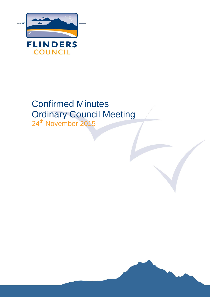

# Confirmed Minutes Ordinary Council Meeting

24<sup>th</sup> November 2015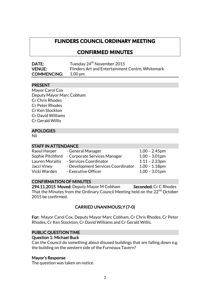# **FLINDERS COUNCIL ORDINARY MEETING**

# **CONFIRMED MINUTES**

| <b>DATE:</b>       | Tuesday 24 <sup>th</sup> November 2015           |
|--------------------|--------------------------------------------------|
| <b>VENUE:</b>      | Flinders Art and Entertainment Centre, Whitemark |
| <b>COMMENCING:</b> | $1.00 \,\mathrm{pm}$                             |

# PRESENT

Mayor Carol Cox Deputy Mayor Marc Cobham Cr Chris Rhodes Cr Peter Rhodes Cr Ken Stockton Cr David Williams Cr Gerald Willis

# APOLOGIES

Nil

# STAFF IN ATTENDANCE

| $1.00 - 2.45$ pm |
|------------------|
| $1.00 - 3.01$ pm |
| $1.11 - 2.23$ pm |
| $1.00 - 1.18$ pm |
| $1.00 - 3.01$ pm |
|                  |

# CONFIRMATION OF MINUTES

294.11.2015 Moved: Deputy Mayor M Cobham Seconded: Cr C Rhodes That the Minutes from the Ordinary Council Meeting held on the 22<sup>nd</sup> October 2015 be confirmed.

# CARRIED UNANIMOUSLY (7-0)

For: Mayor Carol Cox, Deputy Mayor Marc Cobham, Cr Chris Rhodes, Cr Peter Rhodes, Cr Ken Stockton, Cr David Williams and Cr Gerald Willis.

# PUBLIC QUESTION TIME

#### Question 1: Michael Buck

Can the Council do something about disused buildings that are falling down e.g. the building on the western side of the Furneaux Tavern?

# Mayor's Response

The question was taken on notice.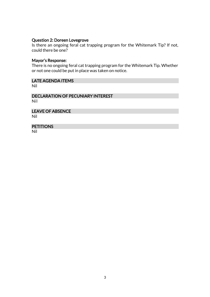#### Question 2: Doreen Lovegrove

Is there an ongoing feral cat trapping program for the Whitemark Tip? If not, could there be one?

#### Mayor's Response:

There is no ongoing feral cat trapping program for the Whitemark Tip. Whether or not one could be put in place was taken on notice.

# LATE AGENDA ITEMS

Nil

DECLARATION OF PECUNIARY INTEREST Nil

LEAVE OF ABSENCE Nil

# **PETITIONS**

Nil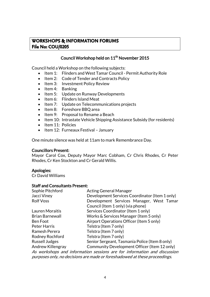# **WORKSHOPS & INFORMATION FORUMS File No: COU/0205**

# Council Workshop held on 11<sup>th</sup> November 2015

Council held a Workshop on the following subjects:

- Item 1: Flinders and West Tamar Council Permit Authority Role
- Item 2: Code of Tender and Contracts Policy
- Item 3: Investment Policy Review
- Item 4: Banking
- Item 5: Update on Runway Developments
- Item 6: Flinders Island Meat
- Item 7: Update on Telecommunications projects
- Item 8: Foreshore BBQ area
- $\bullet$  Item 9: Proposal to Rename a Beach
- Item 10: Intrastate Vehicle Shipping Assistance Subsidy (for residents)
- Item 11: Policies
- $\bullet$  Item 12: Furneaux Festival January

One minute silence was held at 11am to mark Remembrance Day.

#### Councillors Present:

Mayor Carol Cox, Deputy Mayor Marc Cobham, Cr Chris Rhodes, Cr Peter Rhodes, Cr Ken Stockton and Cr Gerald Willis.

# Apologies:

Cr David Williams

#### Staff and Consultants Present:

| Sophie Pitchford<br><b>Acting General Manager</b>                          |  |  |  |
|----------------------------------------------------------------------------|--|--|--|
| Development Services Coordinator (Item 1 only)                             |  |  |  |
| Development Services Manager, West Tamar                                   |  |  |  |
| Council (Item 1 only) (via phone)                                          |  |  |  |
| Services Coordinator (Item 1 only)                                         |  |  |  |
| Works & Services Manager (Item 5 only)                                     |  |  |  |
| Airport Operations Officer (Item 5 only)                                   |  |  |  |
| Telstra (Item 7 only)                                                      |  |  |  |
| Telstra (Item 7 only)                                                      |  |  |  |
| Telstra (Item 7 only)                                                      |  |  |  |
| Senior Sergeant, Tasmania Police (Item 8 only)                             |  |  |  |
| Community Development Officer (Item 12 only)                               |  |  |  |
| As workshops and information sessions are for information and discussion   |  |  |  |
| purposes only, no decisions are made or foreshadowed at these proceedings. |  |  |  |
|                                                                            |  |  |  |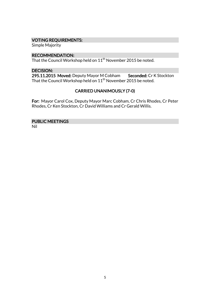# VOTING REQUIREMENTS:

Simple Majority

#### RECOMMENDATION:

That the Council Workshop held on  $11<sup>th</sup>$  November 2015 be noted.

#### DECISION:

295.11.2015 Moved: Deputy Mayor M Cobham Seconded: Cr K Stockton That the Council Workshop held on 11th November 2015 be noted.

# CARRIED UNANIMOUSLY (7-0)

For: Mayor Carol Cox, Deputy Mayor Marc Cobham, Cr Chris Rhodes, Cr Peter Rhodes, Cr Ken Stockton, Cr David Williams and Cr Gerald Willis.

# PUBLIC MEETINGS

Nil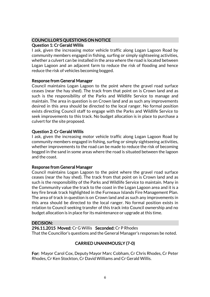# COUNCILLOR'S QUESTIONS ON NOTICE

# Question 1: Cr Gerald Willis

I ask, given the increasing motor vehicle traffic along Logan Lagoon Road by community members engaged in fishing, surfing or simply sightseeing activities, whether a culvert can be installed in the area where the road is located between Logan Lagoon and an adjacent farm to reduce the risk of flooding and hence reduce the risk of vehicles becoming bogged.

# Response from General Manager

Council maintains Logan Lagoon to the point where the gravel road surface ceases (near the hay shed). The track from that point on is Crown land and as such is the responsibility of the Parks and Wildlife Service to manage and maintain. The area in question is on Crown land and as such any improvements desired in this area should be directed to the local ranger. No formal position exists directing Council staff to engage with the Parks and Wildlife Service to seek improvements to this track. No budget allocation is in place to purchase a culvert for the site proposed.

# Question 2: Cr Gerald Willis

I ask, given the increasing motor vehicle traffic along Logan Lagoon Road by community members engaged in fishing, surfing or simply sightseeing activities, whether improvements to the road can be made to reduce the risk of becoming bogged in the sand in some areas where the road is situated between the lagoon and the coast.

# Response from General Manager

Council maintains Logan Lagoon to the point where the gravel road surface ceases (near the hay shed). The track from that point on is Crown land and as such is the responsibility of the Parks and Wildlife Service to maintain. Many in the Community value the track to the coast in the Logan Lagoon area and it is a key fire break track highlighted in the Furneaux Islands Fire Management Plan. The area of track in question is on Crown land and as such any improvements in this area should be directed to the local ranger. No formal position exists in relation to Council seeking transfer of this track into Council ownership and no budget allocation is in place for its maintenance or upgrade at this time.

# DECISION:

296.11.2015 Moved: Cr G Willis Seconded: Cr P Rhodes That the Councillor's questions and the General Manager's responses be noted.

# CARRIED UNANIMOUSLY (7-0)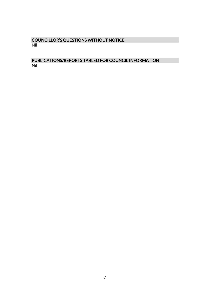# COUNCILLOR'S QUESTIONS WITHOUT NOTICE Nil

# PUBLICATIONS/REPORTS TABLED FOR COUNCIL INFORMATION Nil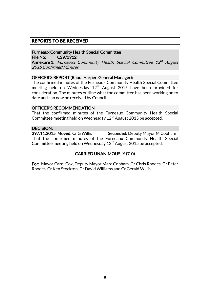# **REPORTS TO BE RECEIVED**

Furneaux Community Health Special Committee File No: CSV/0912

**Annexure 1:** Furneaux Community Health Special Committee 12<sup>th</sup> August 2015 Confirmed Minutes

#### OFFICER'S REPORT (Raoul Harper, General Manager):

The confirmed minutes of the Furneaux Community Health Special Committee meeting held on Wednesday  $12<sup>th</sup>$  August 2015 have been provided for consideration. The minutes outline what the committee has been working on to date and can now be received by Council.

#### OFFICER'S RECOMMENDATION

That the confirmed minutes of the Furneaux Community Health Special Committee meeting held on Wednesday  $12<sup>th</sup>$  August 2015 be accepted.

#### DECISION:

297.11.2015 Moved: Cr G Willis Seconded: Deputy Mayor M Cobham That the confirmed minutes of the Furneaux Community Health Special Committee meeting held on Wednesday  $12<sup>th</sup>$  August 2015 be accepted.

# CARRIED UNANIMOUSLY (7-0)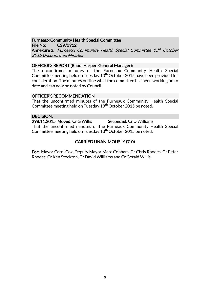# Furneaux Community Health Special Committee

File No: CSV/0912

**Annexure 2:** Furneaux Community Health Special Committee 13<sup>th</sup> October 2015 Unconfirmed Minutes

# OFFICER'S REPORT (Raoul Harper, General Manager):

The unconfirmed minutes of the Furneaux Community Health Special Committee meeting held on Tuesday 13<sup>th</sup> October 2015 have been provided for consideration. The minutes outline what the committee has been working on to date and can now be noted by Council.

# OFFICER'S RECOMMENDATION

That the unconfirmed minutes of the Furneaux Community Health Special Committee meeting held on Tuesday  $13<sup>th</sup>$  October 2015 be noted.

# DECISION:

298.11.2015 Moved: Cr G Willis Seconded: Cr D Williams That the unconfirmed minutes of the Furneaux Community Health Special Committee meeting held on Tuesday 13<sup>th</sup> October 2015 be noted.

# CARRIED UNANIMOUSLY (7-0)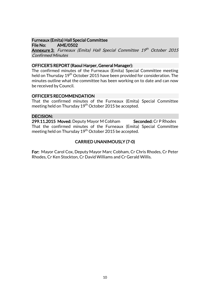# Furneaux (Emita) Hall Special Committee

File No: AME/0502 **Annexure 3:** Furneaux (Emita) Hall Special Committee 19<sup>th</sup> October 2015 Confirmed Minutes

# OFFICER'S REPORT (Raoul Harper, General Manager):

The confirmed minutes of the Furneaux (Emita) Special Committee meeting held on Thursday 19<sup>th</sup> October 2015 have been provided for consideration. The minutes outline what the committee has been working on to date and can now be received by Council.

# OFFICER'S RECOMMENDATION

That the confirmed minutes of the Furneaux (Emita) Special Committee meeting held on Thursday 19<sup>th</sup> October 2015 be accepted.

# DECISION:

299.11.2015 Moved: Deputy Mayor M Cobham Seconded: Cr P Rhodes That the confirmed minutes of the Furneaux (Emita) Special Committee meeting held on Thursday 19<sup>th</sup> October 2015 be accepted.

# CARRIED UNANIMOUSLY (7-0)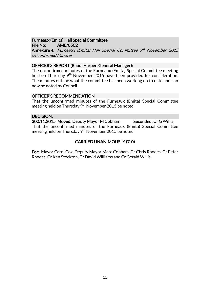#### Furneaux (Emita) Hall Special Committee File No: AME/0502

**Annexure 4:** Furneaux (Emita) Hall Special Committee 9<sup>th</sup> November 2015 Unconfirmed Minutes

# OFFICER'S REPORT (Raoul Harper, General Manager):

The unconfirmed minutes of the Furneaux (Emita) Special Committee meeting held on Thursday 9<sup>th</sup> November 2015 have been provided for consideration. The minutes outline what the committee has been working on to date and can now be noted by Council.

# OFFICER'S RECOMMENDATION

That the unconfirmed minutes of the Furneaux (Emita) Special Committee meeting held on Thursday 9<sup>th</sup> November 2015 be noted.

#### DECISION:

300.11.2015 Moved: Deputy Mayor M Cobham Seconded: Cr G Willis That the unconfirmed minutes of the Furneaux (Emita) Special Committee meeting held on Thursday 9<sup>th</sup> November 2015 be noted.

# CARRIED UNANIMOUSLY (7-0)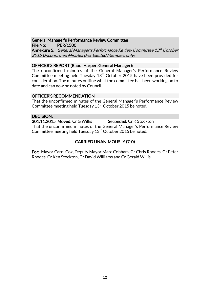#### General Manager's Performance Review Committee File No: PER/1500

**Annexure 5:** General Manager's Performance Review Committee 13<sup>th</sup> October 2015 Unconfirmed Minutes (For Elected Members only)

# OFFICER'S REPORT (Raoul Harper, General Manager):

The unconfirmed minutes of the General Manager's Performance Review Committee meeting held Tuesday  $13<sup>th</sup>$  October 2015 have been provided for consideration. The minutes outline what the committee has been working on to date and can now be noted by Council.

# OFFICER'S RECOMMENDATION

That the unconfirmed minutes of the General Manager's Performance Review Committee meeting held Tuesday  $13<sup>th</sup>$  October 2015 be noted.

# DECISION:

301.11.2015 Moved: Cr G Willis Seconded: Cr K Stockton That the unconfirmed minutes of the General Manager's Performance Review Committee meeting held Tuesday  $13<sup>th</sup>$  October 2015 be noted.

# CARRIED UNANIMOUSLY (7-0)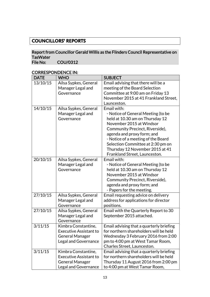# **COUNCILLORS' REPORTS**

# Report from Councillor Gerald Willis as the Flinders Council Representative on TasWater<br>File No: COU/0312

| <b>DATE</b> | <b>WHO</b>                                                                                                    | <b>SUBJECT</b>                                                                                                                                                                                                                                                                                                                   |
|-------------|---------------------------------------------------------------------------------------------------------------|----------------------------------------------------------------------------------------------------------------------------------------------------------------------------------------------------------------------------------------------------------------------------------------------------------------------------------|
| 13/10/15    | Ailsa Sypkes, General<br>Manager Legal and<br>Governance                                                      | Email advising that there will be a<br>meeting of the Board Selection<br>Committee at 9:00 am on Friday 13<br>November 2015 at 41 Frankland Street,<br>Launceston.                                                                                                                                                               |
| 14/10/15    | Ailsa Sypkes, General<br>Manager Legal and<br>Governance                                                      | Email with:<br>- Notice of General Meeting (to be<br>held at 10.30 am on Thursday 12<br>November 2015 at Windsor<br>Community Precinct, Riverside),<br>agenda and proxy form; and<br>- Notice of a meeting of the Board<br>Selection Committee at 2:30 pm on<br>Thursday 12 November 2015 at 41<br>Frankland Street, Launceston. |
| 20/10/15    | Ailsa Sypkes, General<br>Manager Legal and<br>Governance                                                      | Email with:<br>- Notice of General Meeting (to be<br>held at 10.30 am on Thursday 12<br>November 2015 at Windsor<br>Community Precinct, Riverside),<br>agenda and proxy form; and<br>- Papers for the meeting.                                                                                                                   |
| 27/10/15    | Ailsa Sypkes, General<br>Manager Legal and<br>Governance                                                      | Email requesting advice on delivery<br>address for applications for director<br>positions.                                                                                                                                                                                                                                       |
| 27/10/15    | Ailsa Sypkes, General<br>Manager Legal and<br>Governance                                                      | Email with the Quarterly Report to 30<br>September 2015 attached.                                                                                                                                                                                                                                                                |
| 3/11/15     | Kimbra Constantine,<br>Executive Assistant to<br><b>General Manager</b><br><b>Legal and Governance</b>        | Email advising that a quarterly briefing<br>for northern shareholders will be held<br>Wednesday 3 February 2016 from 2:00<br>pm to 4:00 pm at West Tamar Room,<br>Charles Street, Launceston.                                                                                                                                    |
| 3/11/15     | Kimbra Constantine,<br><b>Executive Assistant to</b><br><b>General Manager</b><br><b>Legal and Governance</b> | Email advising that a quarterly briefing<br>for northern shareholders will be held<br>Thursday 11 August 2016 from 2:00 pm<br>to 4:00 pm at West Tamar Room,                                                                                                                                                                     |

# CORRESPONDENCE IN: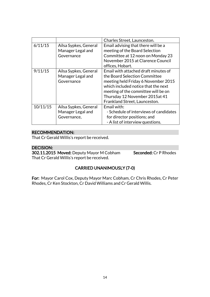|          |                       | Charles Street, Launceston.            |
|----------|-----------------------|----------------------------------------|
| 6/11/15  | Ailsa Sypkes, General | Email advising that there will be a    |
|          | Manager Legal and     | meeting of the Board Selection         |
|          | Governance            | Committee at 12 noon on Monday 23      |
|          |                       | November 2015 at Clarence Council      |
|          |                       | offices, Hobart.                       |
| 9/11/15  | Ailsa Sypkes, General | Email with attached draft minutes of   |
|          | Manager Legal and     | the Board Selection Committee          |
|          | Governance            | meeting held Friday 6 November 2015    |
|          |                       | which included notice that the next    |
|          |                       | meeting of the committee will be on    |
|          |                       | Thursday 12 November 2015at 41         |
|          |                       | Frankland Street, Launceston.          |
| 10/11/15 | Ailsa Sypkes, General | Email with:                            |
|          | Manager Legal and     | - Schedule of interviews of candidates |
|          | Governance,           | for director positions; and            |
|          |                       | - A list of interview questions.       |

# RECOMMENDATION:

That Cr Gerald Willis's report be received.

# DECISION:

302.11.2015 Moved: Deputy Mayor M Cobham Seconded: Cr P Rhodes That Cr Gerald Willis's report be received.

# CARRIED UNANIMOUSLY (7-0)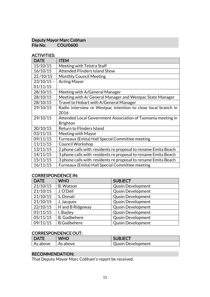# Deputy Mayor Marc Cobham<br>File No: COU/0600 COU/0600

# ACTIVITIES:

| <b>DATE</b>  | <b>ITEM</b>                                                    |
|--------------|----------------------------------------------------------------|
| 15/10/15     | Meeting with Telstra Staff                                     |
| 16/10/15     | <b>Attended Flinders Island Show</b>                           |
| 22/10/15     | <b>Monthly Council Meeting</b>                                 |
| $23/10/15 -$ | <b>Acting Mayor</b>                                            |
| 01/11/15     |                                                                |
| 28/10/15     | Meeting with A/General Manager                                 |
| 28/10/15     | Meeting with A/ General Manager and Westpac State Manager      |
| 28/10/15     | Travel to Hobart with A/General Manager                        |
| 29/10/15     | Radio interview re Westpac intention to close local branch in  |
|              | 2016                                                           |
| 29/10/15     | Attended Local Government Association of Tasmania meeting in   |
|              | <b>Brighton</b>                                                |
| 30/10/15     | Return to Flinders Island                                      |
| 03/11/15     | Meeting with Mayor                                             |
| 09/11/15     | Furneaux (Emita) Hall Special Committee meeting                |
| 11/11/15     | <b>Council Workshop</b>                                        |
| 13/11/15     | 2 phone calls with residents re proposal to rename Emita Beach |
| 14/11/15     | 3 phone calls with residents re proposal to rename Emita Beach |
| 15/11/15     | 3 phone calls with residents re proposal to rename Emita Beach |
| 16/11/15     | Furneaux (Emita) Hall Special Committee meeting                |

# CORRESPONDENCE IN:

| <b>DATE</b> | <b>WHO</b>          | <b>SUBJECT</b>           |
|-------------|---------------------|--------------------------|
| 21/10/15    | <b>B.</b> Watson    | <b>Quoin Development</b> |
| 21/10/15    | J. O'Dell           | <b>Quoin Development</b> |
| 21/10/15    | S. Donati           | <b>Quoin Development</b> |
| 21/10/15    | J. Jacques          | <b>Quoin Development</b> |
| 22/10/15    | H and B Ridgeway    | <b>Quoin Development</b> |
| 01/11/15    | I. Bayley           | <b>Quoin Development</b> |
| 05/11/15    | <b>B.</b> Godbehere | <b>Quoin Development</b> |
| 09/11/15    | <b>B.Godbehere</b>  | <b>Quoin Development</b> |

# CORRESPONDENCE OUT:

| <b>DATE</b> | WHO      | <b>SUBJECT</b>           |
|-------------|----------|--------------------------|
| As above    | As above | <b>Quoin Development</b> |

# RECOMMENDATION:

That Deputy Mayor Marc Cobham's report be received.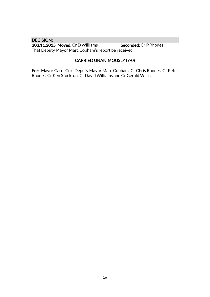# DECISION:

303.11.2015 Moved: Cr D Williams Seconded: Cr P Rhodes That Deputy Mayor Marc Cobham's report be received.

# CARRIED UNANIMOUSLY (7-0)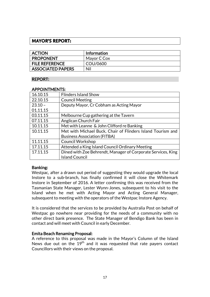# **MAYOR'S REPORT:**

| <b>ACTION</b>            | <b>Information</b> |
|--------------------------|--------------------|
| <b>PROPONENT</b>         | Mayor C Cox        |
| <b>FILE REFERENCE</b>    | COU/0600           |
| <b>ASSOCIATED PAPERS</b> | Nil                |

# REPORT:

#### APPOINTMENTS:

| 16.10.15  | <b>Flinders Island Show</b>                                  |  |
|-----------|--------------------------------------------------------------|--|
| 22.10.15  | <b>Council Meeting</b>                                       |  |
| $23.10 -$ | Deputy Mayor, Cr Cobham as Acting Mayor                      |  |
| 01.11.15  |                                                              |  |
| 03.11.15  | Melbourne Cup gathering at the Tavern                        |  |
| 07.11.15  | Anglican Church Fair                                         |  |
| 10.11.15  | Met with Leanne & John Clifford re Banking                   |  |
| 10.11.15  | Met with Michael Buck, Chair of Flinders Island Tourism and  |  |
|           | <b>Business Association (FITBA)</b>                          |  |
| 11.11.15  | <b>Council Workshop</b>                                      |  |
| 17.11.15  | Attended a King Island Council Ordinary Meeting              |  |
| 17.11.15  | Dined with Zoe Behrendt, Manager of Corporate Services, King |  |
|           | <b>Island Council</b>                                        |  |

#### Banking:

Westpac, after a drawn out period of suggesting they would upgrade the local Instore to a sub-branch, has finally confirmed it will close the Whitemark Instore in September of 2016. A letter confirming this was received from the Tasmanian State Manager, Lester Wynn-Jones, subsequent to his visit to the Island when he met with Acting Mayor and Acting General Manager, subsequent to meeting with the operators of the Westpac Instore Agency.

It is considered that the services to be provided by Australia Post on behalf of Westpac go nowhere near providing for the needs of a community with no other direct bank presence. The State Manager of Bendigo Bank has been in contact and will meet with Council in early December.

#### Emita Beach Renaming Proposal:

A reference to this proposal was made in the Mayor's Column of the Island News due out on the  $19<sup>th</sup>$  and it was requested that rate payers contact Councillors with their views on the proposal.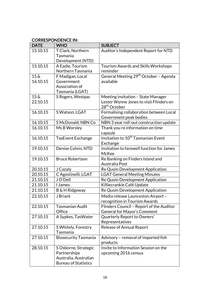# CORRESPONDENCE IN:

| <b>DATE</b>        | <b>WHO</b>                  | <b>SUBJECT</b>                                    |
|--------------------|-----------------------------|---------------------------------------------------|
| 15.10.15           | T Clark, Northern           | Auditor's Independent Report for NTD              |
|                    | Tasmania                    |                                                   |
|                    | Development (NTD)           |                                                   |
| 15.10.15           | A Eadie, Tourism            | <b>Tourism Awards and Skills Workshops</b>        |
|                    | Northern Tasmania           | reminder                                          |
| $15\,\mathrm{\AA}$ | F Madigan, Local            | General Meeting 29 <sup>th</sup> October - Agenda |
| 16.10.15           | Government                  | available                                         |
|                    | Association of              |                                                   |
|                    | Tasmania (LGAT)             |                                                   |
| $15\ \&$           | S Rogers, Westpac           | Meeting invitation - State Manager                |
| 22.10.15           |                             | Lester Wynne Jones to visit Flinders on           |
|                    |                             | 28 <sup>th</sup> October                          |
| 16.10.15           | S Watson, LGAT              | Formalising collaboration between Local           |
|                    |                             | Government peak bodies                            |
| 16.10.15           | S McDonald, NBN Co          | NBN 3 year roll-out construction update           |
| 16.10.15           | Ms B Worsley                | Thank you re information on time                  |
|                    |                             | capsule                                           |
| 16.10.15           | <b>TasEvent Exchange</b>    | Invitation to 10 <sup>th</sup> Tasmanian Event    |
|                    |                             | Exchange                                          |
| 19.10.15           | Denise Colvin, NTD          | Invitation to farewell function for James         |
|                    |                             | McKee                                             |
| 19.10.15           | <b>Bruce Robertson</b>      | Re Banking on Finders Island and                  |
|                    |                             | Australia Post                                    |
| 20.10.15           | J Cazaly                    | Re Quoin Development Application                  |
| 20.10.15           | C Agostinelli, LGAT         | <b>LGAT General Meeting Minutes</b>               |
| 21.10.15           | J O'Dell                    | Re Quoin Development Application                  |
| 21.10.15           | I James                     | Killiecrankie Café Update                         |
| 21.10.15           | B & H Ridgeway              | Re Quoin Development Application                  |
| 22.10.15           | J Briant                    | Media release Launceston Airport -                |
|                    |                             | recognition in Tourism Awards                     |
| 22.10.15           | Tasmanian Audit             | Flinders Council - Report of the Auditor          |
|                    | Office                      | General for Mayor's Comment                       |
| 27.10.15           | A Sypkes, TasWater          | Quarterly Report to Owners'                       |
|                    |                             | Representatives                                   |
| 27.10.15           | S Whitely, Forestry         | <b>Release of Annual Report</b>                   |
|                    | Tasmania                    |                                                   |
| 27.10.15           | <b>Biosecurity Tasmania</b> | Advisory - removal of imported fish               |
|                    |                             | products                                          |
| 28.10.15           | S Osborne, Strategic        | Invite to Information Session on the              |
|                    | Partnerships                | upcoming 2016 census                              |
|                    | Australia, Australian       |                                                   |
|                    | <b>Bureau of Statistics</b> |                                                   |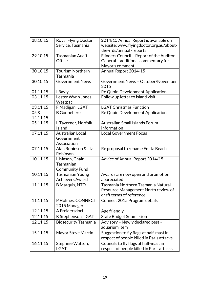| 28.10.15          | <b>Royal Flying Doctor</b>  | 2014/15 Annual Report is available on     |
|-------------------|-----------------------------|-------------------------------------------|
|                   | Service, Tasmania           | website: www.flyingdoctor.org.au/about-   |
|                   |                             | the-rfds/annual-reports                   |
| 29.10 15          | Tasmanian Audit             | Flinders Council - Report of the Auditor  |
|                   | Office                      | General - additional commentary for       |
|                   |                             | Mayor's comment                           |
| 30.10.15          | <b>Tourism Northern</b>     | Annual Report 2014-15                     |
|                   | Tasmania                    |                                           |
| 30.10.15          | <b>Government News</b>      | Government News - October/November        |
|                   |                             | 2015                                      |
| 01.11.15          | I Bayly                     | Re Quoin Development Application          |
| 03.11.15          | Lester Wynn Jones,          | Follow up letter to island visit          |
|                   | Westpac                     |                                           |
| 03.11.15          | F Madigan, LGAT             | <b>LGAT Christmas Function</b>            |
| $05\,\mathrm{\&}$ | <b>B</b> Godbehere          | Re Quoin Development Application          |
| 14.11.15          |                             |                                           |
| 05.11.15          | L Taverner, Norfolk         | <b>Australian Small Islands Forum</b>     |
|                   | <b>Island</b>               | information                               |
| 07.11.15          | <b>Australian Local</b>     | <b>Local Government Focus</b>             |
|                   | Government                  |                                           |
|                   | Association                 |                                           |
| 07.11.15          | Alan Robinson & Liz         | Re proposal to rename Emita Beach         |
|                   | Robinson                    |                                           |
| 10.11.15          | L Mason, Chair,             | Advice of Annual Report 2014/15           |
|                   | Tasmanian                   |                                           |
|                   | <b>Community Fund</b>       |                                           |
| 10.11.15          | <b>Tasmanian Young</b>      | Awards are now open and promotion         |
|                   | <b>Achievers Award</b>      | appreciated                               |
| 11.11.15          | <b>B</b> Marquis, NTD       | Tasmania Northern Tasmania Natural        |
|                   |                             | Resource Management North review of       |
|                   |                             | draft terms of reference                  |
| 11.11.15          | P Holmes, CONNECT           | Connect 2015 Program details              |
|                   | 2015 Manager                |                                           |
| 12.11.15          | A Freidersdorf              | Age friendly                              |
| 12.11.15          | K Stephenson, LGAT          | <b>State Budget Submission</b>            |
| 12.11.15          | <b>Biosecurity Tasmania</b> | Advisory - Newly declared pest -          |
|                   |                             | aquarium item                             |
| 15.11.15          | Mayor Steve Martin          | Suggestion to fly flags at half-mast in   |
|                   |                             | respect of people killed in Paris attacks |
| 16.11.15          | Stephnie Watson,            | Councils to fly flags at half-mast in     |
|                   | <b>LGAT</b>                 | respect of people killed in Paris attacks |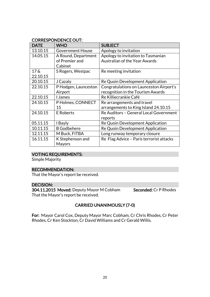# CORRESPONDENCE OUT:

| <b>DATE</b>        | <b>WHO</b>              | <b>SUBJECT</b>                           |
|--------------------|-------------------------|------------------------------------------|
| 13.10.15           | <b>Government House</b> | Apology to invitation                    |
| 14.05.15           | A Round, Department     | Apology to invitation to Tasmanian       |
|                    | of Premier and          | <b>Australian of the Year Awards</b>     |
|                    | Cabinet                 |                                          |
| $17\,\mathrm{\AA}$ | S Rogers, Westpac       | Re meeting invitation                    |
| 22.10.15           |                         |                                          |
| 20.10.15           | J Cazaly                | Re Quoin Development Application         |
| 22.10.15           | P Hodgen, Launceston    | Congratulations on Launceston Airport's  |
|                    | Airport                 | recognition in the Tourism Awards        |
| 22.10.15           | <b>James</b>            | Re Killiecrankie Café                    |
| 24.10.15           | P Holmes, CONNECT       | Re arrangements and travel               |
|                    | 15                      | arrangements to King Island 24.10.15     |
| 24.10.15           | <b>E</b> Roberts        | Re Auditors - General Local Government   |
|                    |                         | reports                                  |
| 05.11.15           | I Bayly                 | Re Quoin Development Application         |
| 10.11.15           | <b>B</b> Godbehere      | Re Quoin Development Application         |
| 12.11.15           | M Buck, FITBA           | Long runway temporary closure            |
| 16.11.15           | K Stephenson and        | Re Flag Advice - Paris terrorist attacks |
|                    | <b>Mayors</b>           |                                          |

# VOTING REQUIREMENTS:

Simple Majority

# RECOMMENDATION:

That the Mayor's report be received.

# DECISION:

304.11.2015 Moved: Deputy Mayor M Cobham Seconded: Cr P Rhodes That the Mayor's report be received.

# CARRIED UNANIMOUSLY (7-0)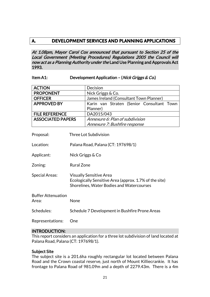# **A. DEVELOPMENT SERVICES AND PLANNING APPLICATIONS**

At 1.08pm, Mayor Carol Cox announced that pursuant to Section 25 of the Local Government (Meeting Procedures) Regulations 2005 the Council will now act as a Planning Authority under the Land Use Planning and Approvals Act 1993.

#### Item A1: Development Application – (Nick Griggs & Co.)

| <b>ACTION</b>                      |                   | Decision                                                                                                                              |
|------------------------------------|-------------------|---------------------------------------------------------------------------------------------------------------------------------------|
| <b>PROPONENT</b>                   |                   | Nick Griggs & Co.                                                                                                                     |
| <b>OFFICER</b>                     |                   | James Ireland (Consultant Town Planner)                                                                                               |
| <b>APPROVED BY</b>                 |                   | Karin van Straten (Senior Consultant Town                                                                                             |
|                                    |                   | Planner)                                                                                                                              |
| <b>FILE REFERENCE</b>              |                   | DA2015/043                                                                                                                            |
| <b>ASSOCIATED PAPERS</b>           |                   | Annexure 6: Plan of subdivision                                                                                                       |
|                                    |                   | Annexure 7: Bushfire response                                                                                                         |
|                                    |                   |                                                                                                                                       |
| Proposal:                          |                   | Three Lot Subdivision                                                                                                                 |
| Location:                          |                   | Palana Road, Palana (CT: 197698/1)                                                                                                    |
| Applicant:                         |                   | Nick Griggs & Co                                                                                                                      |
| Zoning:                            | <b>Rural Zone</b> |                                                                                                                                       |
| <b>Special Areas:</b>              |                   | <b>Visually Sensitive Area</b><br>Ecologically Sensitive Area (approx. 1.7% of the site)<br>Shorelines, Water Bodies and Watercourses |
| <b>Buffer Attenuation</b><br>Area: | None              |                                                                                                                                       |
| Schedules:                         |                   | Schedule 7 Development in Bushfire Prone Areas                                                                                        |
| Representations:                   | One               |                                                                                                                                       |

#### INTRODUCTION:

This report considers an application for a three lot subdivision of land located at Palana Road, Palana (CT: 197698/1).

#### Subject Site

The subject site is a 201.6ha roughly rectangular lot located between Palana Road and the Crown coastal reserve, just north of Mount Killiecrankie. It has frontage to Palana Road of 981.09m and a depth of 2279.43m. There is a 4m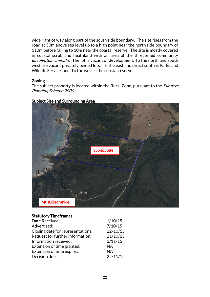wide right of way along part of the south side boundary. The site rises from the road at 50m above sea level up to a high point near the north side boundary of 110m before falling to 10m near the coastal reserve. The site is mostly covered in coastal scrub and heathland with an area of the threatened community eucalyptus viminalis. The lot is vacant of development. To the north and south west are vacant privately owned lots. To the east and direct south is Parks and Wildlife Service land. To the west is the coastal reserve.

#### Zoning

The subject property is located within the Rural Zone, pursuant to the *Flinders* Planning Scheme 2000.



# Subject Site and Surrounding Area

#### Statutory Timeframes

| Date Received:                    | 1/10/15   |
|-----------------------------------|-----------|
| Advertised:                       | 7/10/15   |
| Closing date for representations: | 22/10/15  |
| Request for further information:  | 21/10/15  |
| Information received:             | 3/11/15   |
| Extension of time granted:        | <b>NA</b> |
| Extension of time expires:        | <b>NA</b> |
| Decision due:                     | 25/11/15  |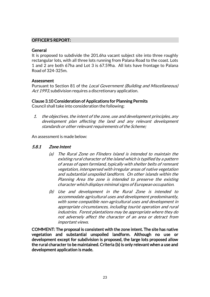# OFFICER'S REPORT:

# **General**

It is proposed to subdivide the 201.6ha vacant subject site into three roughly rectangular lots, with all three lots running from Palana Road to the coast. Lots 1 and 2 are both 67ha and Lot 3 is 67.59ha. All lots have frontage to Palana Road of 324-325m.

# Assessment

Pursuant to Section 81 of the Local Government (Building and Miscellaneous) Act 1993, subdivision requires a discretionary application.

# Clause 3.10 Consideration of Applications for Planning Permits

Council shall take into consideration the following:

1. the objectives, the intent of the zone, use and development principles, any development plan affecting the land and any relevant development standards or other relevant requirements of the Scheme;

An assessment is made below:

# 5.8.1 Zone Intent

- (a) The Rural Zone on Flinders Island is intended to maintain the existing rural character of the island which is typified by a pattern of areas of open farmland, typically with shelter belts of remnant vegetation, interspersed with irregular areas of native vegetation and substantial unspoiled landform. On other islands within the Planning Area the zone is intended to preserve the existing character which displays minimal signs of European occupation.
- (b) Use and development in the Rural Zone is intended to accommodate agricultural uses and development predominantly, with some compatible non-agricultural uses and development in appropriate circumstances, including tourist operation and rural industries. Forest plantations may be appropriate where they do not adversely affect the character of an area or detract from important views.

COMMENT: The proposal is consistent with the zone intent. The site has native vegetation and substantial unspoiled landform. Although no use or development except for subdivision is proposed, the large lots proposed allow the rural character to be maintained. Criteria (b) is only relevant when a use and development application is made.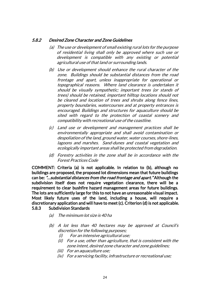# 5.8.2 Desired Zone Character and Zone Guidelines

- (a) The use or development of small existing rural lots for the purpose of residential living shall only be approved where such use or development is compatible with any existing or potential agricultural use of that land or surrounding lands.
- (b) Use or development should enhance the rural character of the zone. Buildings should be substantial distances from the road frontage and apart, unless inappropriate for operational or topographical reasons. Where land clearance is undertaken it should be visually sympathetic; important trees (or stands of trees) should be retained, important hilltop locations should not be cleared and location of trees and shrubs along fence lines, property boundaries, watercourses and at property entrances is encouraged. Buildings and structures for aquaculture should be sited with regard to the protection of coastal scenery and compatibility with recreational use of the coastline.
- (c) Land use or development and management practices shall be environmentally appropriate and shall avoid contamination or despoliation of the land, ground water, water courses, shore-lines, lagoons and marshes. Sand-dunes and coastal vegetation and ecologically important areas shall be protected from degradation.
- (d) Forestry activities in the zone shall be in accordance with the Forest Practices Code

COMMENT: Criteria (a) is not applicable. In relation to (b), although no buildings are proposed, the proposed lot dimensions mean that future buildings can be: "…substantial distances from the road frontage and apart." Although the subdivision itself does not require vegetation clearance, there will be a requirement to clear bushfire hazard management areas for future buildings. The lots are sufficiently large for this to not have an unreasonable visual impact. Most likely future uses of the land, including a house, will require a discretionary application and will have to meet (c). Criterion (d) is not applicable. 5.8.3 Subdivision Standards

- (a) The minimum lot size is 40 ha
- (b) A lot less than 40 hectares may be approved at Council's discretion for the following purposes;
	- (i) For an intensive agricultural use;
	- (ii) For a use, other than agriculture, that is consistent with the zone intent, desired zone character and zone guidelines;
	- (iii) For an aquaculture use;
	- (iv) For a servicing facility, infrastructure or recreational use;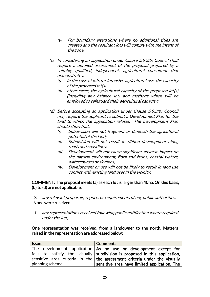- (v) For boundary alterations where no additional titles are created and the resultant lots will comply with the intent of the zone.
- (c) In considering an application under Clause 5.8.3(b) Council shall require a detailed assessment of the proposal prepared by a suitably qualified, independent, agricultural consultant that demonstrates:
	- $(i)$  In the case of lots for intensive agricultural use, the capacity of the proposed lot(s)
	- (ii) other cases, the agricultural capacity of the proposed lot(s) (including any balance lot) and methods which will be employed to safeguard their agricultural capacity;
- (d) Before accepting an application under Clause 5.9.3(b) Council may require the applicant to submit a Development Plan for the land to which the application relates. The Development Plan should show that:
	- (i) Subdivision will not fragment or diminish the agricultural potential of the land;
	- (ii) Subdivision will not result in ribbon development along roads and coastlines;
	- (iii) Development will not cause significant adverse impact on the natural environment, flora and fauna, coastal waters, watercourses or skylines;
	- (iv) Development or use will not be likely to result in land use conflict with existing land uses in the vicinity.

# COMMENT: The proposal meets (a) as each lot is larger than 40ha. On this basis, (b) to (d) are not applicable.

2. any relevant proposals, reports or requirements of any public authorities; None were received.

3. any representations received following public notification where required under the Act;

#### One representation was received, from a landowner to the north. Matters raised in the representation are addressed below:

| Issue:           | Comment:                                                                          |
|------------------|-----------------------------------------------------------------------------------|
|                  | The development application $\overline{A}$ and use or development except for      |
|                  | fails to satisfy the visually subdivision is proposed in this application,        |
|                  | sensitive area criteria in the $\vert$ the assessment criteria under the visually |
| planning scheme. | sensitive area have limited application. The                                      |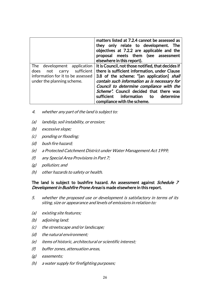|                                    | matters listed at 7.2.4 cannot be assessed as<br>they only relate to development.<br><b>The</b><br>objectives at 7.2.2 are applicable and the<br>proposal meets them (see assessment<br>elsewhere in this report). |
|------------------------------------|--------------------------------------------------------------------------------------------------------------------------------------------------------------------------------------------------------------------|
| The development application        | It is Council, not those notified, that decides if                                                                                                                                                                 |
| sufficient<br>not<br>does<br>carry | there is sufficient information, under Clause                                                                                                                                                                      |
| information for it to be assessed  | 3.8 of the scheme: "[an application] shall                                                                                                                                                                         |
| under the planning scheme.         | contain such information as is necessary for                                                                                                                                                                       |
|                                    | Council to determine compliance with the                                                                                                                                                                           |
|                                    | Scheme". Council decided that there was                                                                                                                                                                            |
|                                    | information to<br>sufficient<br>determine                                                                                                                                                                          |
|                                    | compliance with the scheme.                                                                                                                                                                                        |

- 4. whether any part of the land is subject to:
- (a) landslip, soil instability, or erosion;
- (b) excessive slope;
- (c) ponding or flooding;
- (d) bush fire hazard;
- (e) a Protected Catchment District under Water Management Act 1999;
- (f) any Special Area Provisions in Part 7;
- (g) pollution; and
- (h) other hazards to safety or health.

# The land is subject to bushfire hazard. An assessment against Schedule 7 Development in Bushfire Prone Areas is made elsewhere in this report.

- 5. whether the proposed use or development is satisfactory in terms of its siting, size or appearance and levels of emissions in relation to:
- (a) existing site features;
- (b) adjoining land;
- (c) the streetscape and/or landscape;
- (d) the natural environment;
- (e) items of historic, architectural or scientific interest;
- (f) buffer zones, attenuation areas,
- (g) easements;
- (h) a water supply for firefighting purposes;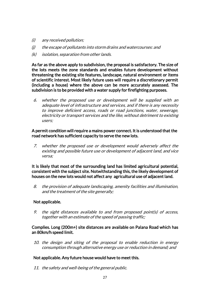- (i) any received pollution;
- (j) the escape of pollutants into storm drains and watercourses: and
- (k) isolation, separation from other lands.

As far as the above apply to subdivision, the proposal is satisfactory. The size of the lots meets the zone standards and enables future development without threatening the existing site features, landscape, natural environment or items of scientific interest. Most likely future uses will require a discretionary permit (including a house) where the above can be more accurately assessed. The subdivision is to be provided with a water supply for firefighting purposes.

6. whether the proposed use or development will be supplied with an adequate level of infrastructure and services, and if there is any necessity to improve deficient access, roads or road junctions, water, sewerage, electricity or transport services and the like, without detriment to existing users;

#### A permit condition will require a mains power connect. It is understood that the road network has sufficient capacity to serve the new lots.

7. whether the proposed use or development would adversely affect the existing and possible future use or development of adjacent land, and vice versa;

It is likely that most of the surrounding land has limited agricultural potential, consistent with the subject site. Notwithstanding this, the likely development of houses on the new lots would not affect any agricultural use of adjacent land.

8. the provision of adequate landscaping, amenity facilities and illumination, and the treatment of the site generally;

#### Not applicable.

9. the sight distances available to and from proposed point(s) of access, together with an estimate of the speed of passing traffic;

# Complies. Long (200m+) site distances are available on Palana Road which has an 80km/h speed limit.

10. the design and siting of the proposal to enable reduction in energy consumption through alternative energy use or reduction in demand; and

# Not applicable. Any future house would have to meet this.

11. the safety and well-being of the general public.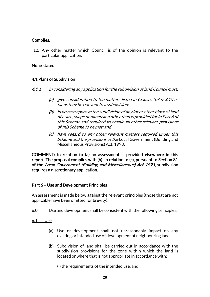# Complies.

12. Any other matter which Council is of the opinion is relevant to the particular application.

# None stated.

# 4.1 Plans of Subdivision

- 4.1.1 In considering any application for the subdivision of land Council must:
	- (a) give consideration to the matters listed in Clauses  $3.9 \& 3.10$  as far as they be relevant to a subdivision;
	- (b) in no case approve the subdivision of any lot or other block of land of a size, shape or dimension other than is provided for in Part 6 of this Scheme and required to enable all other relevant provisions of this Scheme to be met; and
	- (c) have regard to any other relevant matters required under this Scheme and the provisions of the Local Government (Building and Miscellaneous Provisions) Act, 1993;

COMMENT: In relation to (a) an assessment is provided elsewhere in this report. The proposal complies with (b). In relation to (c), pursuant to Section 81 of the Local Government (Building and Miscellaneous) Act 1993, subdivision requires a discretionary application.

# Part 6 – Use and Development Principles

An assessment is made below against the relevant principles (those that are not applicable have been omitted for brevity):

6.0 Use and development shall be consistent with the following principles:

6.1 Use

- (a) Use or development shall not unreasonably impact on any existing or intended use of development of neighbouring land.
- (b) Subdivision of land shall be carried out in accordance with the subdivision provisions for the zone within which the land is located or where that is not appropriate in accordance with:

(i) the requirements of the intended use, and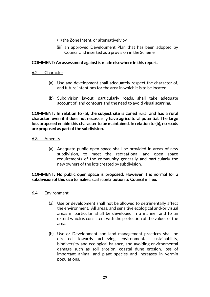- (ii) the Zone Intent, or alternatively by
- (iii) an approved Development Plan that has been adopted by Council and inserted as a provision in the Scheme.

# COMMENT: An assessment against is made elsewhere in this report.

- 6.2 Character
	- (a) Use and development shall adequately respect the character of, and future intentions for the area in which it is to be located.
	- (b) Subdivision layout, particularly roads, shall take adequate account of land contours and the need to avoid visual scarring.

COMMENT: In relation to (a), the subject site is zoned rural and has a rural character, even if it does not necessarily have agricultural potential. The large lots proposed enable this character to be maintained. In relation to (b), no roads are proposed as part of the subdivision.

#### 6.3 Amenity

(a) Adequate public open space shall be provided in areas of new subdivision, to meet the recreational and open space requirements of the community generally and particularly the new owners of the lots created by subdivision.

# COMMENT: No public open space is proposed. However it is normal for a subdivision of this size to make a cash contribution to Council in lieu.

#### 6.4 Environment

- (a) Use or development shall not be allowed to detrimentally affect the environment. All areas, and sensitive ecological and/or visual areas in particular, shall be developed in a manner and to an extent which is consistent with the protection of the values of the area.
- (b) Use or Development and land management practices shall be directed towards achieving environmental sustainability, biodiversity and ecological balance, and avoiding environmental damage such as soil erosion, coastal dune erosion, loss of important animal and plant species and increases in vermin populations.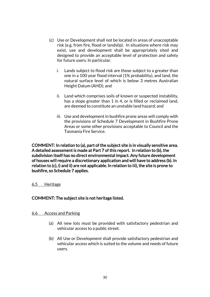- (c) Use or Development shall not be located in areas of unacceptable risk (e.g. from fire, flood or landslip). In situations where risk may exist, use and development shall be appropriately sited and designed to provide an acceptable level of protection and safety for future users. In particular.
	- i. Lands subject to flood risk are those subject to a greater than one in a 100 year flood interval (1% probability), and land, the natural surface level of which is below 3 metres Australian Height Datum (AHD); and
	- ii. Land which comprises soils of known or suspected instability, has a slope greater than 1 in 4, or is filled or reclaimed land, are deemed to constitute an unstable land hazard; and
	- iii. Use and development in bushfire prone areas will comply with the provisions of Schedule 7 Development in Bushfire Prone Areas or some other provisions acceptable to Council and the Tasmania Fire Service.

COMMENT: In relation to (a), part of the subject site is in visually sensitive area. A detailed assessment is made at Part 7 of this report. In relation to (b), the subdivision itself has no direct environmental impact. Any future development of houses will require a discretionary application and will have to address (b). In relation to (c), i) and ii) are not applicable. In relation to iii), the site is prone to bushfire, so Schedule 7 applies.

# 6.5 Heritage

# COMMENT: The subject site is not heritage listed.

#### 6.6 Access and Parking

- (a) All new lots must be provided with satisfactory pedestrian and vehicular access to a public street.
- (b) All Use or Development shall provide satisfactory pedestrian and vehicular access which is suited to the volume and needs of future users.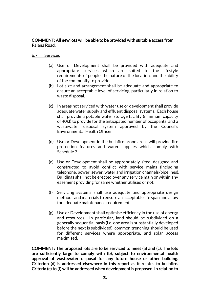# COMMENT: All new lots will be able to be provided with suitable access from Palana Road.

#### 6.7 Services

- (a) Use or Development shall be provided with adequate and appropriate services which are suited to the lifestyle requirements of people, the nature of the location, and the ability of the community to provide.
- (b) Lot size and arrangement shall be adequate and appropriate to ensure an acceptable level of servicing, particularly in relation to waste disposal.
- (c) In areas not serviced with water use or development shall provide adequate water supply and effluent disposal systems. Each house shall provide a potable water storage facility (minimum capacity of 40kl) to provide for the anticipated number of occupants, and a wastewater disposal system approved by the Council's Environmental Health Officer
- (d) Use or Development in the bushfire prone areas will provide fire protection features and water supplies which comply with Schedule 7.
- (e) Use or Development shall be appropriately sited, designed and constructed to avoid conflict with service mains (including telephone, power, sewer, water and irrigation channels/pipelines). Buildings shall not be erected over any service main or within any easement providing for same whether utilised or not.
- (f) Servicing systems shall use adequate and appropriate design methods and materials to ensure an acceptable life span and allow for adequate maintenance requirements.
- (g) Use or Development shall optimise efficiency in the use of energy and resources. In particular, land should be subdivided on a generally sequential basis (i.e. one area is substantially developed before the next is subdivided), common trenching should be used for different services where appropriate, and solar access maximised.

COMMENT: The proposed lots are to be serviced to meet (a) and (c). The lots are sufficiently large to comply with (b), subject to environmental health approval of wastewater disposal for any future house or other building. Criterion (d) is addressed elsewhere in this report as it relates to bushfire. Criteria (e) to (f) will be addressed when development is proposed. In relation to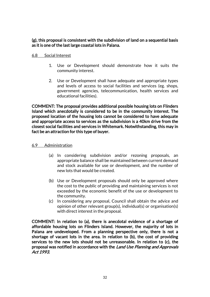# (g), this proposal is consistent with the subdivision of land on a sequential basis as it is one of the last large coastal lots in Palana.

# 6.8 Social Interest

- 1. Use or Development should demonstrate how it suits the community interest.
- 2. Use or Development shall have adequate and appropriate types and levels of access to social facilities and services (eg. shops, government agencies, telecommunication, health services and educational facilities).

COMMENT: The proposal provides additional possible housing lots on Flinders Island which anecdotally is considered to be in the community interest. The proposed location of the housing lots cannot be considered to have adequate and appropriate access to services as the subdivision is a 40km drive from the closest social facilities and services in Whitemark. Notwithstanding, this may in fact be an attraction for this type of buyer.

# 6.9 Administration

- (a) In considering subdivision and/or rezoning proposals, an appropriate balance shall be maintained between current demand and stock available for use or development, and the number of new lots that would be created.
- (b) Use or Development proposals should only be approved where the cost to the public of providing and maintaining services is not exceeded by the economic benefit of the use or development to the community.
- (c) In considering any proposal, Council shall obtain the advice and opinion of other relevant group(s), individual(s) or organisation(s) with direct interest in the proposal.

COMMENT: In relation to (a), there is anecdotal evidence of a shortage of affordable housing lots on Flinders Island. However, the majority of lots in Palana are undeveloped. From a planning perspective only, there is not a shortage of vacant lots in the area. In relation to (b), the cost of providing services to the new lots should not be unreasonable. In relation to (c), the proposal was notified in accordance with the Land Use Planning and Approvals Act 1993.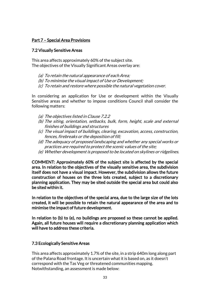# Part 7 – Special Area Provisions

# 7.2 Visually Sensitive Areas

This area affects approximately 60% of the subject site. The objectives of the Visually Significant Areas overlay are:

- (a) To retain the natural appearance of each Area;
- (b) To minimise the visual impact of Use or Development;
- (c) To retain and restore where possible the natural vegetation cover.

In considering an application for Use or development within the Visually Sensitive areas and whether to impose conditions Council shall consider the following matters:

- (a) The objectives listed in Clause 7.2.2
- (b) The siting, orientation, setbacks, bulk, form, height, scale and external finishes of buildings and structures
- (c) The visual impact of buildings, clearing, excavation, access, construction, fences, firebreaks or the deposition of fill;
- (d) The adequacy of proposed landscaping and whether any special works or practices are required to protect the scenic values of the site;
- (e) Whether development is proposed to be located on skylines or ridgelines.

COMMENT: Approximately 60% of the subject site is affected by the special area. In relation to the objectives of the visually sensitive area, the subdivision itself does not have a visual impact. However, the subdivision allows the future construction of houses on the three lots created, subject to a discretionary planning application. They may be sited outside the special area but could also be sited within it.

In relation to the objectives of the special area, due to the large size of the lots created, it will be possible to retain the natural appearance of the area and to minimise the impact of future development.

In relation to (b) to (e), no buildings are proposed so these cannot be applied. Again, all future houses will require a discretionary planning application which will have to address these criteria.

# 7.3 Ecologically Sensitive Areas

This area affects approximately 1.7% of the site, in a strip 640m long along part of the Palana Road frontage. It is uncertain what it is based on, as it doesn't correspond with the Tas Veg or threatened communities mapping. Notwithstanding, an assessment is made below: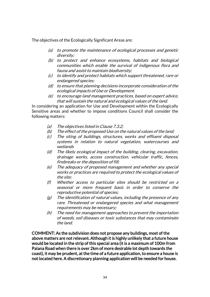The objectives of the Ecologically Significant Areas are:

- (a) to promote the maintenance of ecological processes and genetic diversity;
- (b) to protect and enhance ecosystems, habitats and biological communities which enable the survival of indigenous flora and fauna and assist to maintain biodiversity;
- (c) to identify and protect habitats which support threatened, rare or endangered species;
- (d) to ensure that planning decisions incorporate consideration of the ecological impacts of Use or Development.
- (e) to encourage land management practices, based on expert advice, that will sustain the natural and ecological values of the land.

In considering an application for Use and Development within the Ecologically Sensitive areas and whether to impose conditions Council shall consider the following matters:

- (a) The objectives listed in Clause 7.3.2;
- (b) The effect of the proposed Use on the natural values of the land;
- (c) The siting of buildings, structures, works and effluent disposal systems in relation to natural vegetation, watercourses and wetlands
- (d) The likely ecological impact of the building, clearing, excavation, drainage works, access construction, vehicular traffic, fences, firebreaks or the deposition of fill;
- (e) The adequacy of proposed management and whether any special works or practices are required to protect the ecological values of the site;
- (f) Whether access to particular sites should be restricted on a seasonal or more frequent basis in order to conserve the reproductive potential of species;
- $(g)$  The identification of natural values, including the presence of any rare. Threatened or endangered species and what management requirements may be necessary;
- (h) The need for management approaches to prevent the importation of weeds, soil diseases or toxic substances that may contaminate the land.

COMMENT: As the subdivision does not propose any buildings, most of the above matters are not relevant. Although it is highly unlikely that a future house would be located in the strip of this special area (it is a maximum of 100m from Palana Road when there is over 2km of more desirable lot depth towards the coast), it may be prudent, at the time of a future application, to ensure a house is not located here. A discretionary planning application will be needed for house.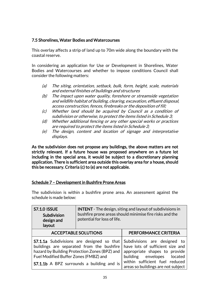# 7.5 Shorelines, Water Bodies and Watercourses

This overlay affects a strip of land up to 70m wide along the boundary with the coastal reserve.

In considering an application for Use or Development in Shorelines, Water Bodies and Watercourses and whether to impose conditions Council shall consider the following matters:

- (a) The siting, orientation, setback, bulk, form, height, scale, materials and external finishes of buildings and structures
- (b) The impact upon water quality, foreshore or streamside vegetation and wildlife habitat of building, clearing, excavation, effluent disposal, access construction, fences, firebreaks or the deposition of fill;
- (c) Whether land should be acquired by Council as a condition of subdivision or otherwise, to protect the items listed in Schedule 3;
- (d) Whether additional fencing or any other special works or practices are required to protect the items listed in Schedule 3;
- (e) The design, content and location of signage and interpretative displays.

As the subdivision does not propose any buildings, the above matters are not strictly relevant. If a future house was proposed anywhere on a future lot including in the special area, it would be subject to a discretionary planning application. There is sufficient area outside this overlay area for a house, should this be necessary. Criteria (c) to (e) are not applicable.

# Schedule 7 – Development in Bushfire Prone Areas

The subdivision is within a bushfire prone area. An assessment against the schedule is made below:

| <b>S7.1.0 ISSUE</b><br>Subdivision<br>design and<br>layout                                                                                                                                                                                  | <b>INTENT</b> - The design, siting and layout of subdivisions in<br>bushfire prone areas should minimise fire risks and the<br>potential for loss of life. |                                                                                                                                                                                                         |
|---------------------------------------------------------------------------------------------------------------------------------------------------------------------------------------------------------------------------------------------|------------------------------------------------------------------------------------------------------------------------------------------------------------|---------------------------------------------------------------------------------------------------------------------------------------------------------------------------------------------------------|
|                                                                                                                                                                                                                                             | <b>ACCEPTABLE SOLUTIONS</b>                                                                                                                                | PERFORMANCE CRITERIA                                                                                                                                                                                    |
| <b>S7.1.1a</b> Subdivisions are designed so that<br>buildings are separated from the bushfire<br>hazard by Building Protection Zones (BPZ) and<br>Fuel Modified Buffer Zones (FMBZ) and<br><b>S7.1.1b</b> A BPZ surrounds a building and is |                                                                                                                                                            | Subdivisions are designed to<br>have lots of sufficient size and<br>appropriate shapes to provide<br>building envelopes located<br>within sufficient fuel reduced<br>areas so buildings are not subject |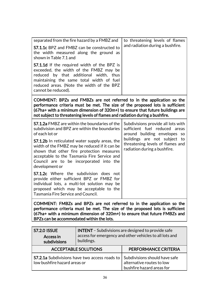| separated from the fire hazard by a FMBZ and<br><b>S7.1.1c</b> BPZ and FMBZ can be constructed to<br>the width measured along the ground as<br>shown in Table 7.1 and<br><b>S7.1.1d</b> If the required width of the BPZ is<br>exceeded, the width of the FMBZ may be<br>reduced by that additional width, thus<br>maintaining the same total width of fuel<br>reduced areas. (Note the width of the BPZ<br>cannot be reduced).                                                                                                                                                                                           | to threatening levels of flames<br>and radiation during a bushfire.                                                                                                                                     |  |
|---------------------------------------------------------------------------------------------------------------------------------------------------------------------------------------------------------------------------------------------------------------------------------------------------------------------------------------------------------------------------------------------------------------------------------------------------------------------------------------------------------------------------------------------------------------------------------------------------------------------------|---------------------------------------------------------------------------------------------------------------------------------------------------------------------------------------------------------|--|
| COMMENT: BPZs and FMBZs are not referred to in the application so the<br>performance criteria must be met. The size of the proposed lots is sufficient<br>(67ha+ with a minimum dimension of 320m+) to ensure that future buildings are<br>not subject to threatening levels of flames and radiation during a bushfire.                                                                                                                                                                                                                                                                                                   |                                                                                                                                                                                                         |  |
| <b>S7.1.2a</b> FMBZ are within the boundaries of the<br>subdivision and BPZ are within the boundaries<br>of each lot or<br><b>S7.1.2b</b> In reticulated water supply areas, the<br>width of the FMBZ may be reduced if it can be<br>shown that other fire protection measures<br>acceptable to the Tasmania Fire Service and<br>Council are to be incorporated into the<br>development or<br><b>S7.1.2c</b> Where the subdivision does not<br>provide either sufficient BPZ or FMBZ for<br>individual lots, a multi-lot solution may be<br>proposed which may be acceptable to the<br>Tasmania Fire Service and Council. | Subdivisions provide all lots with<br>sufficient fuel reduced areas<br>around building envelopes so<br>buildings are not subject to<br>threatening levels of flames and<br>radiation during a bushfire. |  |
| COMMENT: FMBZs and BPZs are not referred to in the application so the<br>performance criteria must be met. The size of the proposed lots is sufficient<br>(67ha+ with a minimum dimension of 320m+) to ensure that future FMBZs and<br>BPZs can be accommodated within the lots.                                                                                                                                                                                                                                                                                                                                          |                                                                                                                                                                                                         |  |

| <b>S7.2.0 ISSUE</b><br>Access in<br>subdivisions                                     | <b>INTENT</b> - Subdivisions are designed to provide safe<br>access for emergency and other vehicles to all lots and<br>buildings. |                                                                                         |
|--------------------------------------------------------------------------------------|------------------------------------------------------------------------------------------------------------------------------------|-----------------------------------------------------------------------------------------|
| <b>ACCEPTABLE SOLUTIONS</b>                                                          |                                                                                                                                    | PERFORMANCE CRITERIA                                                                    |
| <b>S7.2.1a</b> Subdivisions have two access roads to<br>low bushfire hazard areas or |                                                                                                                                    | Subdivisions should have safe<br>alternative routes to low<br>bushfire hazard areas for |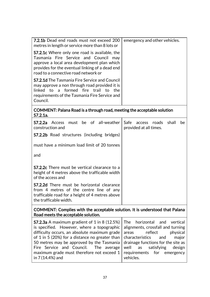| <b>7.2.1b</b> Dead end roads must not exceed 200<br>metres in length or service more than 8 lots or                                                                                                                                     | emergency and other vehicles. |
|-----------------------------------------------------------------------------------------------------------------------------------------------------------------------------------------------------------------------------------------|-------------------------------|
| <b>S7.2.1c</b> Where only one road is available, the<br>Tasmania Fire Service and Council may<br>approve a local area development plan which<br>provides for the eventual linking of a dead end<br>road to a connective road network or |                               |
| <b>S7.2.1d</b> The Tasmania Fire Service and Council<br>may approve a non through road provided it is<br>linked to a formed fire trail to the<br>requirements of the Tasmania Fire Service and<br>Council.                              |                               |
| COMMENT: Palana Road is a through road, meeting the acceptable solution<br>S7.2.1a.                                                                                                                                                     |                               |

| <b>S7.2.2a</b> Access must be of all-weather<br>construction and                                                                                                          | Safe access roads shall<br>provided at all times. | be. |
|---------------------------------------------------------------------------------------------------------------------------------------------------------------------------|---------------------------------------------------|-----|
| <b>S7.2.2b</b> Road structures (including bridges)                                                                                                                        |                                                   |     |
| must have a minimum load limit of 20 tonnes                                                                                                                               |                                                   |     |
| and                                                                                                                                                                       |                                                   |     |
| <b>S7.2.2c</b> There must be vertical clearance to a<br>height of 4 metres above the trafficable width<br>of the access and                                               |                                                   |     |
| <b>S7.2.2d</b> There must be horizontal clearance<br>from 4 metres of the centre line of any<br>trafficable road for a height of 4 metres above<br>the trafficable width. |                                                   |     |

COMMENT: Complies with the acceptable solution. It is understood that Palana Road meets the acceptable solution.

| <b>S7.2.3a</b> A maximum gradient of 1 in 8 (12.5%) The horizontal and vertical<br>is specified. However, where a topographic alignments, crossfall and turning |           |
|-----------------------------------------------------------------------------------------------------------------------------------------------------------------|-----------|
| difficulty occurs, an absolute maximum grade $ $ areas reflect physical                                                                                         |           |
| of 1 in 5 (20%) for a distance no greater than $\vert$ characteristics and                                                                                      | major     |
| 50 metres may be approved by the Tasmania drainage functions for the site as                                                                                    |           |
| Fire Service and Council. The average well as satisfying design                                                                                                 |           |
| maximum grade must therefore not exceed $1$ requirements for emergency                                                                                          |           |
| in 7 (14.4%) and                                                                                                                                                | vehicles. |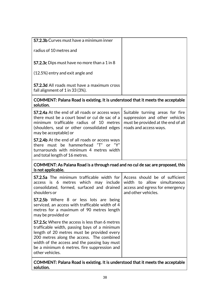| <b>S7.2.3b</b> Curves must have a minimum inner                                                                                                                                                                                                                                                             |                                                                                                                                   |
|-------------------------------------------------------------------------------------------------------------------------------------------------------------------------------------------------------------------------------------------------------------------------------------------------------------|-----------------------------------------------------------------------------------------------------------------------------------|
| radius of 10 metres and                                                                                                                                                                                                                                                                                     |                                                                                                                                   |
| <b>S7.2.3c</b> Dips must have no more than a 1 in 8                                                                                                                                                                                                                                                         |                                                                                                                                   |
| (12.5%) entry and exit angle and                                                                                                                                                                                                                                                                            |                                                                                                                                   |
| <b>S7.2.3d</b> All roads must have a maximum cross<br>fall alignment of 1 in 33 (3%).                                                                                                                                                                                                                       |                                                                                                                                   |
| COMMENT: Palana Road is existing. It is understood that it meets the acceptable<br>solution.                                                                                                                                                                                                                |                                                                                                                                   |
| <b>S7.2.4a</b> At the end of all roads or access ways<br>there must be a court bowl or cul de sac of a<br>minimum trafficable radius of 10 metres<br>(shoulders, seal or other consolidated edges<br>may be acceptable) or                                                                                  | Suitable turning areas for fire<br>suppression and other vehicles<br>must be provided at the end of all<br>roads and access ways. |
| <b>S7.2.4b</b> At the end of all roads or access ways<br>there must be hammerhead "T" or "Y"<br>turnarounds with minimum 4 metres width<br>and total length of 16 metres.                                                                                                                                   |                                                                                                                                   |
| COMMENT: As Palana Road is a through road and no cul de sac are proposed, this<br>is not applicable.                                                                                                                                                                                                        |                                                                                                                                   |
| S7.2.5a The minimum trafficable width for<br>metres which may include<br>access is 6<br>consolidated, formed, surfaced and drained<br>shoulders or                                                                                                                                                          | Access should be of sufficient<br>width to allow simultaneous<br>access and egress for emergency<br>and other vehicles.           |
| <b>S7.2.5b</b> Where 8 or less lots are being<br>serviced, an access with trafficable width of 4<br>metres for a maximum of 90 metres length<br>may be provided or                                                                                                                                          |                                                                                                                                   |
| S7.2.5c Where the access is less than 6 metres<br>trafficable width, passing bays of a minimum<br>length of 20 metres must be provided every<br>200 metres along the access. The combined<br>width of the access and the passing bay must<br>be a minimum 6 metres. fire suppression and<br>other vehicles. |                                                                                                                                   |
| COMMENT: Palana Road is existing. It is understood that it meets the acceptable                                                                                                                                                                                                                             |                                                                                                                                   |

COMMENT: Palana Road is existing. It is understood that it meets the acceptable solution.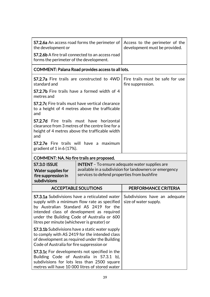| <b>S7.2.6a</b> An access road forms the perimeter of<br>the development or                                                                                                                                                                                                                                              |                                                                                                                                                       | Access to the perimeter of the<br>development must be provided. |
|-------------------------------------------------------------------------------------------------------------------------------------------------------------------------------------------------------------------------------------------------------------------------------------------------------------------------|-------------------------------------------------------------------------------------------------------------------------------------------------------|-----------------------------------------------------------------|
| <b>S7.2.6b</b> A fire trail connected to an access road<br>forms the perimeter of the development.                                                                                                                                                                                                                      |                                                                                                                                                       |                                                                 |
|                                                                                                                                                                                                                                                                                                                         | COMMENT: Palana Road provides access to all lots.                                                                                                     |                                                                 |
| <b>S7.2.7a</b> Fire trails are constructed to 4WD<br>standard and                                                                                                                                                                                                                                                       |                                                                                                                                                       | Fire trails must be safe for use<br>fire suppression.           |
| <b>S7.2.7b</b> Fire trails have a formed width of 4<br>metres and                                                                                                                                                                                                                                                       |                                                                                                                                                       |                                                                 |
| <b>S7.2.7c</b> Fire trails must have vertical clearance<br>to a height of 4 metres above the trafficable<br>and                                                                                                                                                                                                         |                                                                                                                                                       |                                                                 |
| and                                                                                                                                                                                                                                                                                                                     | <b>S7.2.7d</b> Fire trails must have horizontal<br>clearance from 3 metres of the centre line for a<br>height of 4 metres above the trafficable width |                                                                 |
| S7.2.7e Fire trails will have a maximum<br>gradient of $1$ in 6 (17%).                                                                                                                                                                                                                                                  |                                                                                                                                                       |                                                                 |
| COMMENT: NA. No fire trails are proposed.                                                                                                                                                                                                                                                                               |                                                                                                                                                       |                                                                 |
| <b>S7.3.0 ISSUE</b>                                                                                                                                                                                                                                                                                                     |                                                                                                                                                       | <b>INTENT</b> - To ensure adequate water supplies are           |
| <b>Water supplies for</b><br>fire suppression in<br>subdivisions                                                                                                                                                                                                                                                        | services to defend properties from bushfire                                                                                                           | available in a subdivision for landowners or emergency          |
|                                                                                                                                                                                                                                                                                                                         | <b>ACCEPTABLE SOLUTIONS</b>                                                                                                                           | PERFORMANCE CRITERIA                                            |
| <b>S7.3.1a</b> Subdivisions have a reticulated water Subdivisions have an adequate<br>supply with a minimum flow rate as specified<br>by Australian Standard AS 2419 for the<br>intended class of development as required<br>under the Building Code of Australia or 600<br>litres per minute (whichever is greater) or |                                                                                                                                                       | size of water supply.                                           |
| <b>S7.3.1b</b> Subdivisions have a static water supply<br>to comply with AS 2419 for the intended class<br>of development as required under the Building<br>Code of Australia for fire suppression or                                                                                                                   |                                                                                                                                                       |                                                                 |
|                                                                                                                                                                                                                                                                                                                         |                                                                                                                                                       |                                                                 |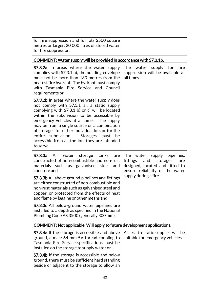| for fire suppression and for lots 2500 square<br>metres or larger, 20 000 litres of stored water<br>for fire suppression.                                                                                                                                                                                                                                                                                                                                                                                                                                                   |                                                                                                                                                                        |
|-----------------------------------------------------------------------------------------------------------------------------------------------------------------------------------------------------------------------------------------------------------------------------------------------------------------------------------------------------------------------------------------------------------------------------------------------------------------------------------------------------------------------------------------------------------------------------|------------------------------------------------------------------------------------------------------------------------------------------------------------------------|
| COMMENT: Water supply will be provided in accordance with S7.3.1b.                                                                                                                                                                                                                                                                                                                                                                                                                                                                                                          |                                                                                                                                                                        |
| <b>S7.3.2a</b> In areas where the water supply<br>complies with S7.3.1 a), the building envelope<br>must not be more than 130 metres from the<br>nearest fire hydrant. The hydrant must comply<br>with Tasmania Fire Service and Council<br>requirements or                                                                                                                                                                                                                                                                                                                 | The water<br>supply for<br>fire<br>suppression will be available at<br>all times.                                                                                      |
| <b>S7.3.2b</b> In areas where the water supply does<br>not comply with S7.3.1 a), a static supply<br>complying with $57.3.1$ b) or c) will be located<br>within the subdivision to be accessible by<br>emergency vehicles at all times. The supply<br>may be from a single source or a combination<br>of storages for either individual lots or for the<br>subdivision.<br><b>Storages</b><br>entire<br>must<br>be<br>accessible from all the lots they are intended<br>to serve.                                                                                           |                                                                                                                                                                        |
| S7.3.3a<br>water storage tanks<br>All<br>are<br>constructed of non-combustible and non-rust<br>materials such as galvanised steel<br>and<br>concrete and<br><b>S7.3.3b</b> All above ground pipelines and fittings<br>are either constructed of non-combustible and<br>non-rust materials such as galvanised steel and<br>copper, or protected from the effects of heat<br>and flame by lagging or other means and<br><b>S7.3.3c</b> All below-ground water pipelines are<br>installed to a depth as specified in the National<br>Plumbing Code AS 3500 (generally 300 mm). | The<br>water<br>supply pipelines,<br>fittings<br>and<br>storages<br>are<br>designed, located and fitted to<br>ensure reliability of the water<br>supply during a fire. |
| COMMENT: Not applicable. Will apply to future development applications.                                                                                                                                                                                                                                                                                                                                                                                                                                                                                                     |                                                                                                                                                                        |
| <b>S7.3.4a</b> If the storage is accessible and above<br>ground, a male 64 mm 5V thread coupling to<br>Tasmania Fire Service specifications must be<br>installed on the storage to supply water or                                                                                                                                                                                                                                                                                                                                                                          | Access to static supplies will be<br>suitable for emergency vehicles.                                                                                                  |
| S7.3.4b If the storage is accessible and below<br>ground, there must be sufficient hard standing<br>beside or adjacent to the storage to allow an                                                                                                                                                                                                                                                                                                                                                                                                                           |                                                                                                                                                                        |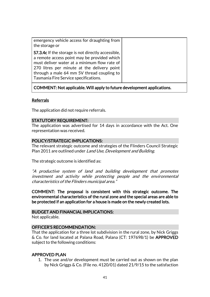| emergency vehicle access for draughting from<br>the storage or                                                                                                                                                                                                                                 |
|------------------------------------------------------------------------------------------------------------------------------------------------------------------------------------------------------------------------------------------------------------------------------------------------|
| <b>S7.3.4c</b> If the storage is not directly accessible,<br>a remote access point may be provided which<br>must deliver water at a minimum flow rate of<br>270 litres per minute at the delivery point<br>through a male 64 mm 5V thread coupling to<br>Tasmania Fire Service specifications. |

# COMMENT: Not applicable. Will apply to future development applications.

### Referrals

The application did not require referrals.

#### STATUTORY REQUIREMENT:

The application was advertised for 14 days in accordance with the Act. One representation was received.

#### POLICY/STRATEGIC IMPLICATIONS:

The relevant strategic outcome and strategies of the Flinders Council Strategic Plan 2011 are outlined under Land Use, Development and Building.

The strategic outcome is identified as:

"A productive system of land and building development that promotes investment and activity while protecting people and the environmental characteristics of the Flinders municipal area."

COMMENT: The proposal is consistent with this strategic outcome. The environmental characteristics of the rural zone and the special areas are able to be protected if an application for a house is made on the newly created lots.

#### BUDGET AND FINANCIAL IMPLICATIONS:

Not applicable.

### OFFICER'S RECOMMENDATION:

That the application for a three lot subdivision in the rural zone, by Nick Griggs & Co. for land located at Palana Road, Palana (CT: 197698/1) be APPROVED subject to the following conditions:

#### APPROVED PLAN

1. The use and/or development must be carried out as shown on the plan by Nick Griggs & Co. (File no. 4120/01) dated 21/9/15 to the satisfaction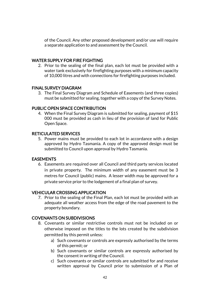of the Council. Any other proposed development and/or use will require a separate application to and assessment by the Council.

### WATER SUPPLY FOR FIRE FIGHTING

2. Prior to the sealing of the final plan, each lot must be provided with a water tank exclusively for firefighting purposes with a minimum capacity of 10,000 litres and with connections for firefighting purposes included.

### FINAL SURVEY DIAGRAM

3. The Final Survey Diagram and Schedule of Easements (and three copies) must be submitted for sealing, together with a copy of the Survey Notes.

# PUBLIC OPEN SPACE CONTRIBUTION

4. When the Final Survey Diagram is submitted for sealing, payment of \$15 000 must be provided as cash in lieu of the provision of land for Public Open Space.

# RETICULATED SERVICES

5. Power mains must be provided to each lot in accordance with a design approved by Hydro Tasmania. A copy of the approved design must be submitted to Council upon approval by Hydro Tasmania.

### EASEMENTS

6. Easements are required over all Council and third party services located in private property. The minimum width of any easement must be 3 metres for Council (public) mains. A lesser width may be approved for a private service prior to the lodgement of a final plan of survey.

### VEHICULAR CROSSING APPLICATION

7. Prior to the sealing of the Final Plan, each lot must be provided with an adequate all weather access from the edge of the road pavement to the property boundary.

# COVENANTS ON SUBDIVISIONS

- 8. Covenants or similar restrictive controls must not be included on or otherwise imposed on the titles to the lots created by the subdivision permitted by this permit unless:
	- a) Such covenants or controls are expressly authorised by the terms of this permit; or
	- b) Such covenants or similar controls are expressly authorised by the consent in writing of the Council.
	- c) Such covenants or similar controls are submitted for and receive written approval by Council prior to submission of a Plan of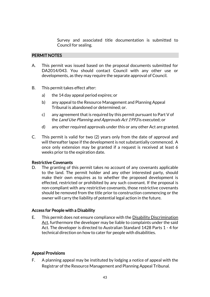Survey and associated title documentation is submitted to Council for sealing.

### PERMIT NOTES

- A. This permit was issued based on the proposal documents submitted for DA2014/043. You should contact Council with any other use or developments, as they may require the separate approval of Council.
- B. This permit takes effect after:
	- a) the 14 day appeal period expires; or
	- b) any appeal to the Resource Management and Planning Appeal Tribunal is abandoned or determined; or.
	- c) any agreement that is required by this permit pursuant to Part V of the Land Use Planning and Approvals Act 1993 is executed; or
	- d) any other required approvals under this or any other Act are granted.
- C. This permit is valid for two (2) years only from the date of approval and will thereafter lapse if the development is not substantially commenced. A once only extension may be granted if a request is received at least 6 weeks prior to the expiration date.

#### Restrictive Covenants

D. The granting of this permit takes no account of any covenants applicable to the land. The permit holder and any other interested party, should make their own enquires as to whether the proposed development is effected, restricted or prohibited by any such covenant. If the proposal is non-compliant with any restrictive covenants, those restrictive covenants should be removed from the title prior to construction commencing or the owner will carry the liability of potential legal action in the future.

#### Access for People with a Disability

E. This permit does not ensure compliance with the Disability Discrimination Act, furthermore the developer may be liable to complaints under the said Act. The developer is directed to Australian Standard 1428 Parts 1 - 4 for technical direction on how to cater for people with disabilities.

### Appeal Provisions

F. A planning appeal may be instituted by lodging a notice of appeal with the Registrar of the Resource Management and Planning Appeal Tribunal.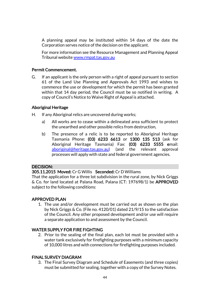A planning appeal may be instituted within 14 days of the date the Corporation serves notice of the decision on the applicant.

For more information see the Resource Management and Planning Appeal Tribunal websit[e www.rmpat.tas.gov.au](http://www.rmpat.tas.gov.au/)

### Permit Commencement.

G. If an applicant is the only person with a right of appeal pursuant to section 61 of the Land Use Planning and Approvals Act 1993 and wishes to commence the use or development for which the permit has been granted within that 14 day period, the Council must be so notified in writing. A copy of Council's Notice to Waive Right of Appeal is attached.

### Aboriginal Heritage

- H. If any Aboriginal relics are uncovered during works;
	- a) All works are to cease within a delineated area sufficient to protect the unearthed and other possible relics from destruction,
	- b) The presence of a relic is to be reported to Aboriginal Heritage Tasmania Phone: (03) 6233 6613 or 1300 135 513 (ask for Aboriginal Heritage Tasmania) Fax: (03) 6233 5555 email: [aboriginal@heritage.tas.gov.au\)](mailto:aboriginal@heritage.tas.gov.au) (and the relevant approval processes will apply with state and federal government agencies.

#### DECISION:

305.11.2015 Moved: Cr G Willis Seconded: Cr D Williams

That the application for a three lot subdivision in the rural zone, by Nick Griggs & Co. for land located at Palana Road, Palana (CT: 197698/1) be APPROVED subject to the following conditions:

### APPROVED PLAN

1. The use and/or development must be carried out as shown on the plan by Nick Griggs & Co. (File no. 4120/01) dated 21/9/15 to the satisfaction of the Council. Any other proposed development and/or use will require a separate application to and assessment by the Council.

### WATER SUPPLY FOR FIRE FIGHTING

2. Prior to the sealing of the final plan, each lot must be provided with a water tank exclusively for firefighting purposes with a minimum capacity of 10,000 litres and with connections for firefighting purposes included.

#### FINAL SURVEY DIAGRAM

3. The Final Survey Diagram and Schedule of Easements (and three copies) must be submitted for sealing, together with a copy of the Survey Notes.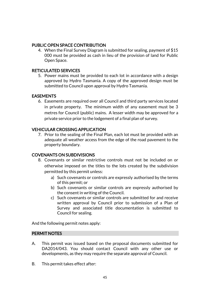### PUBLIC OPEN SPACE CONTRIBUTION

4. When the Final Survey Diagram is submitted for sealing, payment of \$15 000 must be provided as cash in lieu of the provision of land for Public Open Space.

### RETICULATED SERVICES

5. Power mains must be provided to each lot in accordance with a design approved by Hydro Tasmania. A copy of the approved design must be submitted to Council upon approval by Hydro Tasmania.

### **EASEMENTS**

6. Easements are required over all Council and third party services located in private property. The minimum width of any easement must be 3 metres for Council (public) mains. A lesser width may be approved for a private service prior to the lodgement of a final plan of survey.

# VEHICULAR CROSSING APPLICATION

7. Prior to the sealing of the Final Plan, each lot must be provided with an adequate all weather access from the edge of the road pavement to the property boundary.

### COVENANTS ON SUBDIVISIONS

- 8. Covenants or similar restrictive controls must not be included on or otherwise imposed on the titles to the lots created by the subdivision permitted by this permit unless:
	- a) Such covenants or controls are expressly authorised by the terms of this permit; or
	- b) Such covenants or similar controls are expressly authorised by the consent in writing of the Council.
	- c) Such covenants or similar controls are submitted for and receive written approval by Council prior to submission of a Plan of Survey and associated title documentation is submitted to Council for sealing.

And the following permit notes apply:

### PERMIT NOTES

- A. This permit was issued based on the proposal documents submitted for DA2014/043. You should contact Council with any other use or developments, as they may require the separate approval of Council.
- B. This permit takes effect after: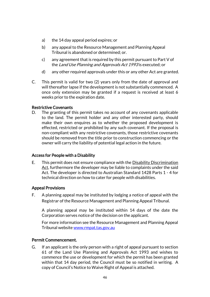- a) the 14 day appeal period expires; or
- b) any appeal to the Resource Management and Planning Appeal Tribunal is abandoned or determined; or.
- c) any agreement that is required by this permit pursuant to Part V of the Land Use Planning and Approvals Act 1993 is executed; or
- d) any other required approvals under this or any other Act are granted.
- C. This permit is valid for two (2) years only from the date of approval and will thereafter lapse if the development is not substantially commenced. A once only extension may be granted if a request is received at least 6 weeks prior to the expiration date.

#### Restrictive Covenants

D. The granting of this permit takes no account of any covenants applicable to the land. The permit holder and any other interested party, should make their own enquires as to whether the proposed development is effected, restricted or prohibited by any such covenant. If the proposal is non-compliant with any restrictive covenants, those restrictive covenants should be removed from the title prior to construction commencing or the owner will carry the liability of potential legal action in the future.

### Access for People with a Disability

E. This permit does not ensure compliance with the Disability Discrimination Act, furthermore the developer may be liable to complaints under the said Act. The developer is directed to Australian Standard 1428 Parts 1 - 4 for technical direction on how to cater for people with disabilities.

#### Appeal Provisions

F. A planning appeal may be instituted by lodging a notice of appeal with the Registrar of the Resource Management and Planning Appeal Tribunal.

A planning appeal may be instituted within 14 days of the date the Corporation serves notice of the decision on the applicant.

For more information see the Resource Management and Planning Appeal Tribunal websit[e www.rmpat.tas.gov.au](http://www.rmpat.tas.gov.au/)

#### Permit Commencement.

G. If an applicant is the only person with a right of appeal pursuant to section 61 of the Land Use Planning and Approvals Act 1993 and wishes to commence the use or development for which the permit has been granted within that 14 day period, the Council must be so notified in writing. A copy of Council's Notice to Waive Right of Appeal is attached.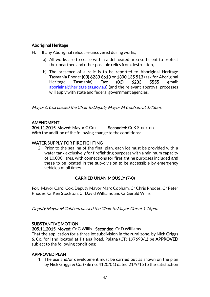# Aboriginal Heritage

- H. If any Aboriginal relics are uncovered during works;
	- a) All works are to cease within a delineated area sufficient to protect the unearthed and other possible relics from destruction,
	- b) The presence of a relic is to be reported to Aboriginal Heritage Tasmania Phone: (03) 6233 6613 or 1300 135 513 (ask for Aboriginal Heritage Tasmania) Fax: (03) 6233 5555 email: [aboriginal@heritage.tas.gov.au\)](mailto:aboriginal@heritage.tas.gov.au) (and the relevant approval processes will apply with state and federal government agencies.

Mayor C Cox passed the Chair to Deputy Mayor M Cobham at 1.43pm.

# AMENDMENT

306.11.2015 Moved: Mayor C Cox Seconded: Cr K Stockton With the addition of the following change to the conditions:

# WATER SUPPLY FOR FIRE FIGHTING

2. Prior to the sealing of the final plan, each lot must be provided with a water tank exclusively for firefighting purposes with a minimum capacity of 10,000 litres, with connections for firefighting purposes included and these to be located in the sub-division to be accessible by emergency vehicles at all times.

# CARRIED UNANIMOUSLY (7-0)

For: Mayor Carol Cox, Deputy Mayor Marc Cobham, Cr Chris Rhodes, Cr Peter Rhodes, Cr Ken Stockton, Cr David Williams and Cr Gerald Willis.

Deputy Mayor M Cobham passed the Chair to Mayor Cox at 1.16pm.

### SUBSTANTIVE MOTION

305.11.2015 Moved: Cr G Willis Seconded: Cr D Williams

That the application for a three lot subdivision in the rural zone, by Nick Griggs & Co. for land located at Palana Road, Palana (CT: 197698/1) be APPROVED subject to the following conditions:

### APPROVED PLAN

1. The use and/or development must be carried out as shown on the plan by Nick Griggs & Co. (File no. 4120/01) dated 21/9/15 to the satisfaction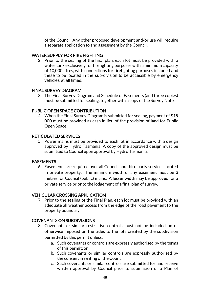of the Council. Any other proposed development and/or use will require a separate application to and assessment by the Council.

### WATER SUPPLY FOR FIRE FIGHTING

2. Prior to the sealing of the final plan, each lot must be provided with a water tank exclusively for firefighting purposes with a minimum capacity of 10,000 litres, with connections for firefighting purposes included and these to be located in the sub-division to be accessible by emergency vehicles at all times.

#### FINAL SURVEY DIAGRAM

3. The Final Survey Diagram and Schedule of Easements (and three copies) must be submitted for sealing, together with a copy of the Survey Notes.

### PUBLIC OPEN SPACE CONTRIBUTION

4. When the Final Survey Diagram is submitted for sealing, payment of \$15 000 must be provided as cash in lieu of the provision of land for Public Open Space.

#### RETICULATED SERVICES

5. Power mains must be provided to each lot in accordance with a design approved by Hydro Tasmania. A copy of the approved design must be submitted to Council upon approval by Hydro Tasmania.

#### EASEMENTS

6. Easements are required over all Council and third party services located in private property. The minimum width of any easement must be 3 metres for Council (public) mains. A lesser width may be approved for a private service prior to the lodgement of a final plan of survey.

### VEHICULAR CROSSING APPLICATION

7. Prior to the sealing of the Final Plan, each lot must be provided with an adequate all weather access from the edge of the road pavement to the property boundary.

### COVENANTS ON SUBDIVISIONS

- 8. Covenants or similar restrictive controls must not be included on or otherwise imposed on the titles to the lots created by the subdivision permitted by this permit unless:
	- a. Such covenants or controls are expressly authorised by the terms of this permit; or
	- b. Such covenants or similar controls are expressly authorised by the consent in writing of the Council.
	- c. Such covenants or similar controls are submitted for and receive written approval by Council prior to submission of a Plan of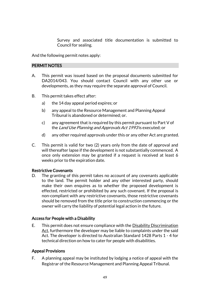Survey and associated title documentation is submitted to Council for sealing.

And the following permit notes apply:

#### PERMIT NOTES

- A. This permit was issued based on the proposal documents submitted for DA2014/043. You should contact Council with any other use or developments, as they may require the separate approval of Council.
- B. This permit takes effect after:
	- a) the 14 day appeal period expires; or
	- b) any appeal to the Resource Management and Planning Appeal Tribunal is abandoned or determined; or.
	- c) any agreement that is required by this permit pursuant to Part V of the Land Use Planning and Approvals Act 1993 is executed; or
	- d) any other required approvals under this or any other Act are granted.
- C. This permit is valid for two (2) years only from the date of approval and will thereafter lapse if the development is not substantially commenced. A once only extension may be granted if a request is received at least 6 weeks prior to the expiration date.

#### Restrictive Covenants

D. The granting of this permit takes no account of any covenants applicable to the land. The permit holder and any other interested party, should make their own enquires as to whether the proposed development is effected, restricted or prohibited by any such covenant. If the proposal is non-compliant with any restrictive covenants, those restrictive covenants should be removed from the title prior to construction commencing or the owner will carry the liability of potential legal action in the future.

### Access for People with a Disability

E. This permit does not ensure compliance with the Disability Discrimination Act, furthermore the developer may be liable to complaints under the said Act. The developer is directed to Australian Standard 1428 Parts 1 - 4 for technical direction on how to cater for people with disabilities.

### Appeal Provisions

F. A planning appeal may be instituted by lodging a notice of appeal with the Registrar of the Resource Management and Planning Appeal Tribunal.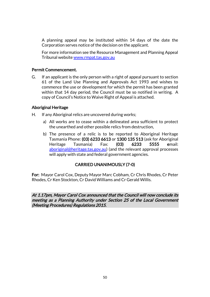A planning appeal may be instituted within 14 days of the date the Corporation serves notice of the decision on the applicant.

For more information see the Resource Management and Planning Appeal Tribunal websit[e www.rmpat.tas.gov.au](http://www.rmpat.tas.gov.au/)

### Permit Commencement.

G. If an applicant is the only person with a right of appeal pursuant to section 61 of the Land Use Planning and Approvals Act 1993 and wishes to commence the use or development for which the permit has been granted within that 14 day period, the Council must be so notified in writing. A copy of Council's Notice to Waive Right of Appeal is attached.

#### Aboriginal Heritage

- H. If any Aboriginal relics are uncovered during works;
	- a) All works are to cease within a delineated area sufficient to protect the unearthed and other possible relics from destruction,
	- b) The presence of a relic is to be reported to Aboriginal Heritage Tasmania Phone: (03) 6233 6613 or 1300 135 513 (ask for Aboriginal Heritage Tasmania) Fax: (03) 6233 5555 email: [aboriginal@heritage.tas.gov.au\)](mailto:aboriginal@heritage.tas.gov.au) (and the relevant approval processes will apply with state and federal government agencies.

# CARRIED UNANIMOUSLY (7-0)

For: Mayor Carol Cox, Deputy Mayor Marc Cobham, Cr Chris Rhodes, Cr Peter Rhodes, Cr Ken Stockton, Cr David Williams and Cr Gerald Willis.

At 1.17pm, Mayor Carol Cox announced that the Council will now conclude its meeting as a Planning Authority under Section 25 of the Local Government (Meeting Procedures) Regulations 2015.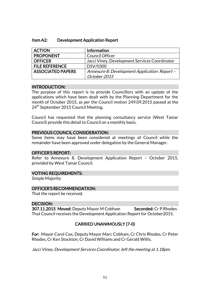| <b>ACTION</b>            | Information                                   |
|--------------------------|-----------------------------------------------|
| <b>PROPONENT</b>         | <b>Council Officer</b>                        |
| <b>OFFICER</b>           | Jacci Viney, Development Services Coordinator |
| <b>FILE REFERENCE</b>    | DSV/0300                                      |
| <b>ASSOCIATED PAPERS</b> | Annexure 8: Development Application Report -  |
|                          | October 2015                                  |

#### INTRODUCTION:

The purpose of this report is to provide Councillors with an update of the applications which have been dealt with by the Planning Department for the month of October 2015, as per the Council motion 249.09.2015 passed at the 24<sup>th</sup> September 2015 Council Meeting.

Council has requested that the planning consultancy service (West Tamar Council) provide this detail to Council on a monthly basis.

#### PREVIOUS COUNCIL CONSIDERATION:

Some items may have been considered at meetings of Council while the remainder have been approved under delegation by the General Manager.

### OFFICER'S REPORT:

Refer to Annexure 8. Development Application Report – October 2015, provided by West Tamar Council.

#### VOTING REQUIREMENTS:

Simple Majority

#### OFFICER'S RECOMMENDATION:

That the report be received.

#### DECISION:

307.11.2015 Moved: Deputy Mayor M Cobham Seconded: Cr P Rhodes That Council receives the Development Application Report for October2015.

# CARRIED UNANIMOUSLY (7-0)

For: Mayor Carol Cox, Deputy Mayor Marc Cobham, Cr Chris Rhodes, Cr Peter Rhodes, Cr Ken Stockton, Cr David Williams and Cr Gerald Willis.

Jacci Viney, Development Services Coordinator, left the meeting at 1.18pm.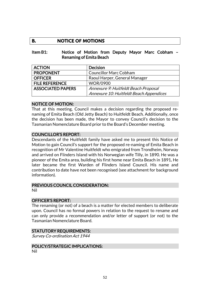# **B. NOTICE OF MOTIONS**

#### Item B1: Notice of Motion from Deputy Mayor Marc Cobham – Renaming of Emita Beach

| <b>ACTION</b>            | <b>Decision</b>                         |
|--------------------------|-----------------------------------------|
| <b>PROPONENT</b>         | <b>Councillor Marc Cobham</b>           |
| <b>OFFICER</b>           | Raoul Harper, General Manager           |
| <b>FILE REFERENCE</b>    | <b>WOR/0900</b>                         |
| <b>ASSOCIATED PAPERS</b> | Annexure 9: Huitfeldt Beach Proposal    |
|                          | Annexure 10: Huitfeldt Beach Appendices |

#### NOTICE OF MOTION:

That at this meeting, Council makes a decision regarding the proposed renaming of Emita Beach (Old Jetty Beach) to Huitfeldt Beach. Additionally, once the decision has been made, the Mayor to convey Council's decision to the Tasmanian Nomenclature Board prior to the Board's December meeting.

### COUNCILLOR'S REPORT:

Descendants of the Huitfeldt family have asked me to present this Notice of Motion to gain Council's support for the proposed re-naming of Emita Beach in recognition of Mr Valentine Huitfeldt who emigrated from Trondheim, Norway and arrived on Flinders Island with his Norwegian wife Tilly, in 1890. He was a pioneer of the Emita area, building his first home near Emita Beach in 1891. He later became the first Warden of Flinders Island Council. His name and contribution to date have not been recognised (see attachment for background information).

### PREVIOUS COUNCIL CONSIDERATION:

Nil

#### OFFICER'S REPORT:

The renaming (or not) of a beach is a matter for elected members to deliberate upon. Council has no formal powers in relation to the request to rename and can only provide a recommendation and/or letter of support (or not) to the Tasmanian Nomenclature Board.

### STATUTORY REQUIREMENTS:

Survey Co-ordination Act 1944

### POLICY/STRATEGIC IMPLICATIONS:

Nil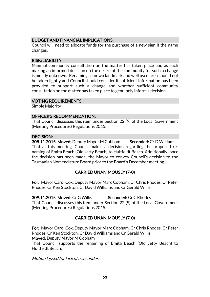# BUDGET AND FINANCIAL IMPLICATIONS:

Council will need to allocate funds for the purchase of a new sign if the name changes.

#### RISK/LIABILITY:

Minimal community consultation on the matter has taken place and as such making an informed decision on the desire of the community for such a change is mostly unknown. Renaming a known landmark and well used area should not be taken lightly and Council should consider if sufficient information has been provided to support such a change and whether sufficient community consultation on the matter has taken place to genuinely inform a decision.

#### VOTING REQUIREMENTS:

Simple Majority

#### OFFICER'S RECOMMENDATION:

That Council discusses this item under Section 22 (9) of the Local Government (Meeting Procedures) Regulations 2015.

### DECISION:

308.11.2015 Moved: Deputy Mayor M Cobham Seconded: Cr D Williams That at this meeting, Council makes a decision regarding the proposed renaming of Emita Beach (Old Jetty Beach) to Huitfeldt Beach. Additionally, once the decision has been made, the Mayor to convey Council's decision to the Tasmanian Nomenclature Board prior to the Board's December meeting.

### CARRIED UNANIMOUSLY (7-0)

For: Mayor Carol Cox, Deputy Mayor Marc Cobham, Cr Chris Rhodes, Cr Peter Rhodes, Cr Ken Stockton, Cr David Williams and Cr Gerald Willis.

309.11.2015 Moved: Cr G Willis Seconded: Cr C Rhodes

That Council discusses this item under Section 22 (9) of the Local Government (Meeting Procedures) Regulations 2015.

# CARRIED UNANIMOUSLY (7-0)

For: Mayor Carol Cox, Deputy Mayor Marc Cobham, Cr Chris Rhodes, Cr Peter Rhodes, Cr Ken Stockton, Cr David Williams and Cr Gerald Willis. Moved: Deputy Mayor M Cobham

That Council supports the renaming of Emita Beach (Old Jetty Beach) to Huitfeldt Beach.

Motion lapsed for lack of a seconder.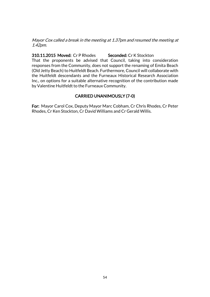Mayor Cox called a break in the meeting at 1.37pm and resumed the meeting at 1.42pm.

310.11.2015 Moved: Cr P Rhodes Seconded: Cr K Stockton That the proponents be advised that Council, taking into consideration responses from the Community, does not support the renaming of Emita Beach (Old Jetty Beach) to Huitfeldt Beach. Furthermore, Council will collaborate with the Huitfeldt descendants and the Furneaux Historical Research Association Inc., on options for a suitable alternative recognition of the contribution made by Valentine Huitfeldt to the Furneaux Community.

# CARRIED UNANIMOUSLY (7-0)

For: Mayor Carol Cox, Deputy Mayor Marc Cobham, Cr Chris Rhodes, Cr Peter Rhodes, Cr Ken Stockton, Cr David Williams and Cr Gerald Willis.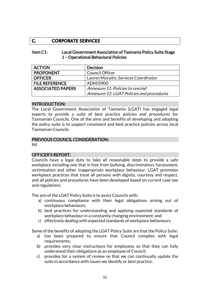# **C. CORPORATE SERVICES**

#### Item C1: Local Government Association of Tasmania Policy Suite Stage 1 – Operational Behavioral Policies

| <b>ACTION</b>            | <b>Decision</b>                           |
|--------------------------|-------------------------------------------|
| <b>PROPONENT</b>         | <b>Council Officer</b>                    |
| <b>OFFICER</b>           | Lauren Moraitis, Services Coordinator     |
| <b>FILE REFERENCE</b>    | ADM/0900                                  |
| <b>ASSOCIATED PAPERS</b> | Annexure 11: Policies to rescind          |
|                          | Annexure 12: LGAT Policies and procedures |

#### INTRODUCTION:

The Local Government Association of Tasmania (LGAT) has engaged legal experts to provide a suite of best practice policies and procedures for Tasmanian Councils. One of the aims and benefits of developing and adopting the policy suite is to support consistent and best practice policies across local Tasmanian Councils.

### PREVIOUS COUNCIL CONSIDERATION:

Nil

### OFFICER'S REPORT:

Councils have a legal duty to take all reasonable steps to provide a safe workplace including one that is free from bullying, discrimination, harassment, victimisation and other inappropriate workplace behaviour. LGAT promotes workplace practices that treat all persons with dignity, courtesy and respect, and all policies and procedures have been developed based on current case law and regulations.

The aim of the LGAT Policy Suite is to assist Councils with:

- a) continuous compliance with their legal obligations arising out of workplace behaviours;
- b) best practices for understanding and applying expected standards of workplace behaviour in a constantly changing environment; and
- c) effectively dealing with expected standards of workplace behaviours.

Some of the benefits of adopting the LGAT Policy Suite are that the Policy Suite:

- a) has been prepared to ensure that Council complies with legal requirements;
- b) provides very clear instructions for employees so that they can fully understand their obligations as an employee of Council;
- c) provides for a system of review so that we can continually update the suite in accordance with issues we identify or best practice;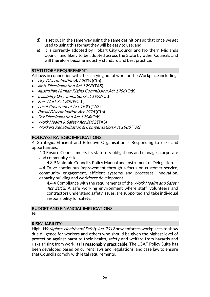- d) is set out in the same way using the same definitions so that once we get used to using this format they will be easy to use; and
- e) it is currently adopted by Hobart City Council and Northern Midlands Council and likely to be adopted across the State by other Councils and will therefore become industry standard and best practice.

#### STATUTORY REQUIREMENT:

All laws in connection with the carrying out of work or the Workplace including:

- Age Discrimination Act 2004 (Cth)
- Anti-Discrimination Act 1998 (TAS)
- Australian Human Rights Commission Act 1986 (Cth)
- Disability Discrimination Act 1992 (Cth)
- Fair Work Act 2009 (Cth)
- Local Government Act 1993(TAS)
- Racial Discrimination Act 1975 (Cth)
- Sex Discrimination Act 1984 (Cth)
- Work Health & Safety Act 2012 (TAS)
- Workers Rehabilitation & Compensation Act 1988 (TAS)

### POLICY/STRATEGIC IMPLICATIONS:

4. Strategic, Efficient and Effective Organisation – Responding to risks and opportunities.

4.3 Ensure Council meets its statutory obligations and manages corporate and community risk.

4.3.9 Maintain Council's Policy Manual and Instrument of Delegation.

4.4 Drive continuous improvement through a focus on customer service, community engagement, efficient systems and processes, innovation, capacity building and workforce development.

4.4.4 Compliance with the requirements of the Work Health and Safety Act 2012. A safe working environment where staff, volunteers and contractors understand safety issues, are supported and take individual responsibility for safety.

#### BUDGET AND FINANCIAL IMPLICATIONS: Nil

#### RISK/LIABILITY:

High. Workplace Health and Safety Act 2012 now enforces workplaces to show due diligence for workers and others who should be given the highest level of protection against harm to their health, safety and welfare from hazards and risks arising from work, as is reasonably practicable. The LGAT Policy Suite has been developed based on current laws and regulations, and case law to ensure that Councils comply with legal requirements.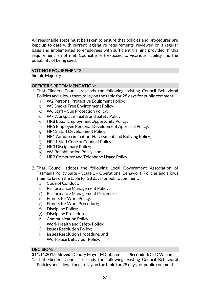All reasonable steps must be taken to ensure that policies and procedures are kept up to date with current legislative requirements, reviewed on a regular basis and implemented to employees with sufficient training provided. If this requirement is not met, Council is left exposed to vicarious liability and the possibility of being sued.

### VOTING REQUIREMENTS:

Simple Majority

### OFFICER'S RECOMMENDATION:

- 1. That Flinders Council rescinds the following existing Council Behavioral Policies and allows them to lay on the table for 28 days for public comment:
	- a) W2 Personal Protective Equipment Policy;
	- b) W5 Smoke Free Environment Policy;
	- c) W6 Staff Sun Protection Policy;
	- d) W7 Workplace Health and Safety Policy;
	- e) HR8 Equal Employment Opportunity Policy;
	- f) HR5 Employee Personal Development Appraisal Policy;
	- g) HR12 Staff Development Policy;
	- h) HR1 Antidiscrimination, Harassment and Bullying Policy;
	- i) HR11 Staff Code of Conduct Policy;
	- j) HR3 Disciplinary Policy;
	- k) W3 Rehabilitation Policy; and
	- l) HR2 Computer and Telephone Usage Policy.
- 2. That Council adopts the following Local Government Association of Tasmania Policy Suite – Stage 1 – Operational Behavioral Policies and allows them to lay on the table for 28 days for public comment:
	- a) Code of Conduct;
	- b) Performance Management Policy;
	- c) Performance Management Procedure;
	- d) Fitness for Work Policy;
	- e) Fitness for Work Procedure;
	- f) Discipline Policy;
	- g) Discipline Procedure;
	- h) Communication Policy;
	- i) Work Health and Safety Policy;
	- j) Issues Resolution Policy;
	- k) Issues Resolution Procedure; and
	- l) Workplace Behaviour Policy.

### DECISION:

311.11.2015 Moved: Deputy Mayor M Cobham Seconded: Cr D Williams

1. That Flinders Council rescinds the following existing Council Behavioral Policies and allows them to lay on the table for 28 days for public comment: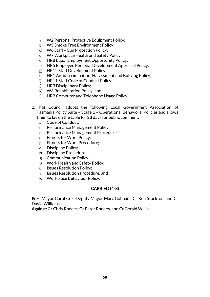- a) W2 Personal Protective Equipment Policy;
- b) W5 Smoke Free Environment Policy;
- c) W6 Staff Sun Protection Policy;
- d) W7 Workplace Health and Safety Policy;
- e) HR8 Equal Employment Opportunity Policy;
- f) HR5 Employee Personal Development Appraisal Policy;
- g) HR12 Staff Development Policy;
- h) HR1 Antidiscrimination, Harassment and Bullying Policy;
- i) HR11 Staff Code of Conduct Policy;
- j) HR3 Disciplinary Policy;
- k) W3 Rehabilitation Policy; and
- l) HR2 Computer and Telephone Usage Policy.
- 2. That Council adopts the following Local Government Association of Tasmania Policy Suite – Stage 1 – Operational Behavioral Policies and allows them to lay on the table for 28 days for public comment:
	- a) Code of Conduct;
	- m) Performance Management Policy;
	- n) Performance Management Procedure;
	- o) Fitness for Work Policy;
	- p) Fitness for Work Procedure;
	- q) Discipline Policy;
	- r) Discipline Procedure;
	- s) Communication Policy;
	- t) Work Health and Safety Policy;
	- u) Issues Resolution Policy;
	- v) Issues Resolution Procedure; and
	- w) Workplace Behaviour Policy.

# CARRIED (4-3)

For: Mayor Carol Cox, Deputy Mayor Marc Cobham, Cr Ken Stockton, and Cr David Williams.

Against: Cr Chris Rhodes, Cr Peter Rhodes, and Cr Gerald Willis.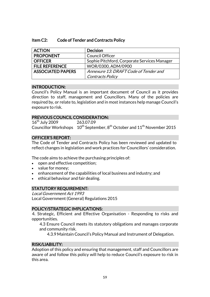#### Item C2: Code of Tender and Contracts Policy

| <b>ACTION</b>            | <b>Decision</b>                              |
|--------------------------|----------------------------------------------|
| <b>PROPONENT</b>         | <b>Council Officer</b>                       |
| <b>OFFICER</b>           | Sophie Pitchford, Corporate Services Manager |
| <b>FILE REFERENCE</b>    | WOR/0300, ADM/0900                           |
| <b>ASSOCIATED PAPERS</b> | Annexure 13: DRAFT Code of Tender and        |
|                          | Contracts Policy                             |

#### INTRODUCTION:

Council's Policy Manual is an important document of Council as it provides direction to staff, management and Councillors. Many of the policies are required by, or relate to, legislation and in most instances help manage Council's exposure to risk.

#### PREVIOUS COUNCIL CONSIDERATION:

16<sup>th</sup> July 2009 263.07.09 Councillor Workshops  $10^{th}$  September,  $8^{th}$  October and  $11^{th}$  November 2015

# OFFICER'S REPORT:

The Code of Tender and Contracts Policy has been reviewed and updated to reflect changes in legislation and work practices for Councillors' consideration.

The code aims to achieve the purchasing principles of:

- open and effective competition;
- value for money;
- enhancement of the capabilities of local business and industry; and
- ethical behaviour and fair dealing.

# STATUTORY REQUIREMENT:

Local Government Act 1993 Local Government (General) Regulations 2015

### POLICY/STRATEGIC IMPLICATIONS:

4. Strategic, Efficient and Effective Organisation - Responding to risks and opportunities.

4.3 Ensure Council meets its statutory obligations and manages corporate and community risk.

4.3.9 Maintain Council's Policy Manual and Instrument of Delegation.

# RISK/LIABILITY:

Adoption of this policy and ensuring that management, staff and Councillors are aware of and follow this policy will help to reduce Council's exposure to risk in this area.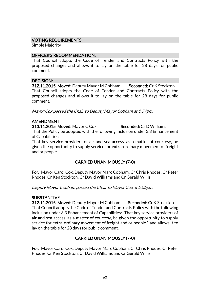### VOTING REQUIREMENTS:

Simple Majority

#### OFFICER'S RECOMMENDATION:

That Council adopts the Code of Tender and Contracts Policy with the proposed changes and allows it to lay on the table for 28 days for public comment.

#### DECISION:

312.11.2015 Moved: Deputy Mayor M Cobham Seconded: Cr K Stockton That Council adopts the Code of Tender and Contracts Policy with the proposed changes and allows it to lay on the table for 28 days for public comment.

Mayor Cox passed the Chair to Deputy Mayor Cobham at 1.59pm.

### AMENDMENT

313.11.2015 Moved: Mayor C Cox Seconded: Cr D Williams That the Policy be adopted with the following inclusion under 3.3 Enhancement of Capabilities:

That key service providers of air and sea access, as a matter of courtesy, be given the opportunity to supply service for extra-ordinary movement of freight and or people.

# CARRIED UNANIMOUSLY (7-0)

For: Mayor Carol Cox, Deputy Mayor Marc Cobham, Cr Chris Rhodes, Cr Peter Rhodes, Cr Ken Stockton, Cr David Williams and Cr Gerald Willis.

Deputy Mayor Cobham passed the Chair to Mayor Cox at 2.05pm.

### **SUBSTANTIVE**

312.11.2015 Moved: Deputy Mayor M Cobham Seconded: Cr K Stockton That Council adopts the Code of Tender and Contracts Policy with the following inclusion under 3.3 Enhancement of Capabilities: "That key service providers of air and sea access, as a matter of courtesy, be given the opportunity to supply service for extra-ordinary movement of freight and or people." and allows it to lay on the table for 28 days for public comment.

# CARRIED UNANIMOUSLY (7-0)

For: Mayor Carol Cox, Deputy Mayor Marc Cobham, Cr Chris Rhodes, Cr Peter Rhodes, Cr Ken Stockton, Cr David Williams and Cr Gerald Willis.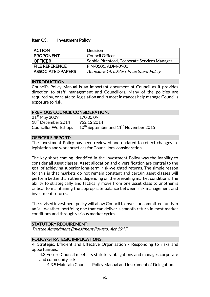#### Item C3: Investment Policy

| <b>ACTION</b>            | <b>Decision</b>                              |
|--------------------------|----------------------------------------------|
| <b>PROPONENT</b>         | <b>Council Officer</b>                       |
| <b>OFFICER</b>           | Sophie Pitchford, Corporate Services Manager |
| <b>FILE REFERENCE</b>    | FIN/0501, ADM/0900                           |
| <b>ASSOCIATED PAPERS</b> | Annexure 14: DRAFT Investment Policy         |

#### INTRODUCTION:

Council's Policy Manual is an important document of Council as it provides direction to staff, management and Councillors. Many of the policies are required by, or relate to, legislation and in most instances help manage Council's exposure to risk.

#### PREVIOUS COUNCIL CONSIDERATION:

| $21st$ May 2009                | 170.05.09                                       |
|--------------------------------|-------------------------------------------------|
| 18 <sup>th</sup> December 2014 | 952.12.2014                                     |
| <b>Councillor Workshops</b>    | $10^{th}$ September and $11^{th}$ November 2015 |

### OFFICER'S REPORT:

The Investment Policy has been reviewed and updated to reflect changes in legislation and work practices for Councillors' consideration.

The key short-coming identified in the Investment Policy was the inability to consider all asset classes. Asset allocation and diversification are central to the goal of achieving superior long-term, risk-weighted returns. The simple reason for this is that markets do not remain constant and certain asset classes will perform better than others, depending on the prevailing market conditions. The ability to strategically and tactically move from one asset class to another is critical to maintaining the appropriate balance between risk management and investment returns.

The revised investment policy will allow Council to invest uncommitted funds in an 'all-weather' portfolio; one that can deliver a smooth return in most market conditions and through various market cycles.

### STATUTORY REQUIREMENT:

Trustee Amendment (Investment Powers) Act 1997

#### POLICY/STRATEGIC IMPLICATIONS:

4. Strategic, Efficient and Effective Organisation - Responding to risks and opportunities.

4.3 Ensure Council meets its statutory obligations and manages corporate and community risk.

4.3.9 Maintain Council's Policy Manual and Instrument of Delegation.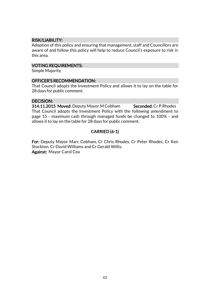### RISK/LIABILITY:

Adoption of this policy and ensuring that management, staff and Councillors are aware of and follow this policy will help to reduce Council's exposure to risk in this area.

#### VOTING REQUIREMENTS:

Simple Majority

#### OFFICER'S RECOMMENDATION:

That Council adopts the Investment Policy and allows it to lay on the table for 28 days for public comment.

### DECISION:

314.11.2015 Moved: Deputy Mayor M Cobham Seconded: Cr P Rhodes That Council adopts the Investment Policy with the following amendment to page 15 - maximum cash through managed funds be changed to 100% - and allows it to lay on the table for 28 days for public comment.

# CARRIED (6-1)

For: Deputy Mayor Marc Cobham, Cr Chris Rhodes, Cr Peter Rhodes, Cr Ken Stockton, Cr David Williams and Cr Gerald Willis. Against: Mayor Carol Cox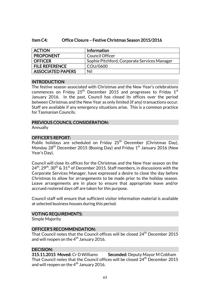#### Item C4: Office Closure – Festive Christmas Season 2015/2016

| <b>ACTION</b>            | Information                                  |
|--------------------------|----------------------------------------------|
| <b>PROPONENT</b>         | <b>Council Officer</b>                       |
| <b>OFFICER</b>           | Sophie Pitchford, Corporate Services Manager |
| <b>FILE REFERENCE</b>    | COU/0600                                     |
| <b>ASSOCIATED PAPERS</b> | Nil                                          |

#### INTRODUCTION

The festive season associated with Christmas and the New Year's celebrations commences on Friday 25 $^{\rm th}$  December 2015 and progresses to Friday 1 $^{\rm st}$ January 2016. In the past, Council has closed its offices over the period between Christmas and the New Year as only limited (if any) transactions occur. Staff are available if any emergency situations arise. This is a common practice for Tasmanian Councils.

#### PREVIOUS COUNCIL CONSIDERATION:

Annually

### OFFICER'S REPORT:

Public holidays are scheduled on Friday 25<sup>th</sup> December (Christmas Day), Monday 28<sup>th</sup> December 2015 (Boxing Day) and Friday 1<sup>st</sup> January 2016 (New Year's Day).

Council will close its offices for the Christmas and the New Year season on the  $24<sup>th</sup>$ ,  $29<sup>th</sup>$ ,  $30<sup>th</sup>$  &  $31<sup>st</sup>$  of December 2015. Staff members, in discussions with the Corporate Services Manager, have expressed a desire to close the day before Christmas to allow for arrangements to be made prior to the holiday season. Leave arrangements are in place to ensure that appropriate leave and/or accrued rostered days off are taken for this purpose.

Council staff will ensure that sufficient visitor information material is available at selected business houses during this period.

#### VOTING REQUIREMENTS:

Simple Majority

#### OFFICER'S RECOMMENDATION:

That Council notes that the Council offices will be closed 24<sup>th</sup> December 2015 and will reopen on the  $4<sup>th</sup>$  January 2016.

### DECISION:

315.11.2015 Moved: Cr D Williams Seconded: Deputy Mayor M Cobham That Council notes that the Council offices will be closed  $24<sup>th</sup>$  December 2015 and will reopen on the  $4<sup>th</sup>$  January 2016.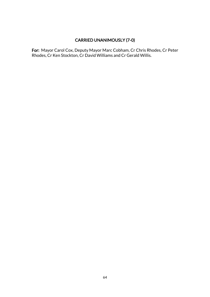# CARRIED UNANIMOUSLY (7-0)

For: Mayor Carol Cox, Deputy Mayor Marc Cobham, Cr Chris Rhodes, Cr Peter Rhodes, Cr Ken Stockton, Cr David Williams and Cr Gerald Willis.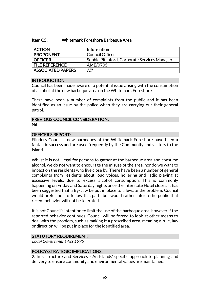#### Item C5: Whitemark Foreshore Barbeque Area

| <b>ACTION</b>            | <b>Information</b>                           |
|--------------------------|----------------------------------------------|
| <b>PROPONENT</b>         | <b>Council Officer</b>                       |
| <b>OFFICER</b>           | Sophie Pitchford, Corporate Services Manager |
| <b>FILE REFERENCE</b>    | AME/0705                                     |
| <b>ASSOCIATED PAPERS</b> | Nil                                          |

#### INTRODUCTION:

Council has been made aware of a potential issue arising with the consumption of alcohol at the new barbeque area on the Whitemark Foreshore.

There have been a number of complaints from the public and it has been identified as an issue by the police when they are carrying out their general patrol.

#### PREVIOUS COUNCIL CONSIDERATION: Nil

#### OFFICER'S REPORT:

Flinders Council's new barbeques at the Whitemark Foreshore have been a fantastic success and are used frequently by the Community and visitors to the Island.

Whilst it is not illegal for persons to gather at the barbeque area and consume alcohol, we do not want to encourage the misuse of the area, nor do we want to impact on the residents who live close by. There have been a number of general complaints from residents about loud voices, hollering and radio playing at excessive levels, due to excess alcohol consumption. This is commonly happening on Friday and Saturday nights once the Interstate Hotel closes. It has been suggested that a By-Law be put in place to alleviate the problem. Council would prefer not to follow this path, but would rather inform the public that recent behavior will not be tolerated.

It is not Council's intention to limit the use of the barbeque area, however if the reported behavior continues, Council will be forced to look at other means to deal with the problem, such as making it a prescribed area, meaning a rule, law or direction will be put in place for the identified area.

#### STATUTORY REQUIREMENT:

Local Government Act 1993

### POLICY/STRATEGIC IMPLICATIONS:

2. Infrastructure and Services - An Islands' specific approach to planning and delivery to ensure community and environmental values are maintained.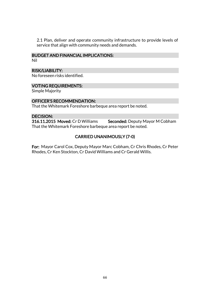2.1 Plan, deliver and operate community infrastructure to provide levels of service that align with community needs and demands.

#### BUDGET AND FINANCIAL IMPLICATIONS:

Nil

#### RISK/LIABILITY:

No foreseen risks identified.

### VOTING REQUIREMENTS:

Simple Majority

#### OFFICER'S RECOMMENDATION:

That the Whitemark Foreshore barbeque area report be noted.

#### DECISION:

316.11.2015 Moved: Cr D Williams Seconded: Deputy Mayor M Cobham That the Whitemark Foreshore barbeque area report be noted.

# CARRIED UNANIMOUSLY (7-0)

For: Mayor Carol Cox, Deputy Mayor Marc Cobham, Cr Chris Rhodes, Cr Peter Rhodes, Cr Ken Stockton, Cr David Williams and Cr Gerald Willis.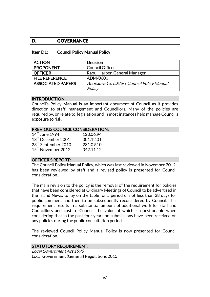# **D. GOVERNANCE**

#### Item D1: Council Policy Manual Policy

| <b>ACTION</b>            | <b>Decision</b>                          |
|--------------------------|------------------------------------------|
| <b>PROPONENT</b>         | <b>Council Officer</b>                   |
| <b>OFFICER</b>           | Raoul Harper, General Manager            |
| <b>FILE REFERENCE</b>    | ADM/0600                                 |
| <b>ASSOCIATED PAPERS</b> | Annexure 15: DRAFT Council Policy Manual |
|                          | Policy                                   |

#### INTRODUCTION:

Council's Policy Manual is an important document of Council as it provides direction to staff, management and Councillors. Many of the policies are required by, or relate to, legislation and in most instances help manage Council's exposure to risk.

#### PREVIOUS COUNCIL CONSIDERATION:

| $14th$ June 1994               | 123.06.94 |
|--------------------------------|-----------|
| 13 <sup>th</sup> December 2001 | 301.12.01 |
| 23rd September 2010            | 281.09.10 |
| 15 <sup>th</sup> November 2012 | 342.11.12 |

#### OFFICER'S REPORT:

The Council Policy Manual Policy, which was last reviewed in November 2012, has been reviewed by staff and a revised policy is presented for Council consideration.

The main revision to the policy is the removal of the requirement for policies that have been considered at Ordinary Meetings of Council to be advertised in the Island News, to lay on the table for a period of not less than 28 days for public comment and then to be subsequently reconsidered by Council. This requirement results in a substantial amount of additional work for staff and Councillors and cost to Council, the value of which is questionable when considering that in the past four years no submissions have been received on any policies during the public consultation period.

The reviewed Council Policy Manual Policy is now presented for Council consideration.

#### STATUTORY REQUIREMENT:

Local Government Act 1993 Local Government (General) Regulations 2015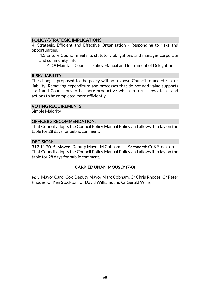### POLICY/STRATEGIC IMPLICATIONS:

4. Strategic, Efficient and Effective Organisation - Responding to risks and opportunities.

4.3 Ensure Council meets its statutory obligations and manages corporate and community risk.

4.3.9 Maintain Council's Policy Manual and Instrument of Delegation.

#### RISK/LIABILITY:

The changes proposed to the policy will not expose Council to added risk or liability. Removing expenditure and processes that do not add value supports staff and Councillors to be more productive which in turn allows tasks and actions to be completed more efficiently.

#### VOTING REQUIREMENTS:

Simple Majority

#### OFFICER'S RECOMMENDATION:

That Council adopts the Council Policy Manual Policy and allows it to lay on the table for 28 days for public comment.

#### DECISION:

317.11.2015 Moved: Deputy Mayor M Cobham Seconded: Cr K Stockton That Council adopts the Council Policy Manual Policy and allows it to lay on the table for 28 days for public comment.

### CARRIED UNANIMOUSLY (7-0)

For: Mayor Carol Cox, Deputy Mayor Marc Cobham, Cr Chris Rhodes, Cr Peter Rhodes, Cr Ken Stockton, Cr David Williams and Cr Gerald Willis.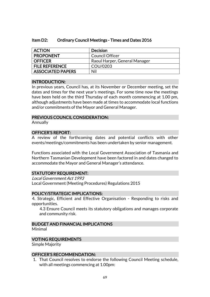#### Item D2: Ordinary Council Meetings - Times and Dates 2016

| <b>ACTION</b>            | <b>Decision</b>               |
|--------------------------|-------------------------------|
| <b>PROPONENT</b>         | <b>Council Officer</b>        |
| <b>OFFICER</b>           | Raoul Harper, General Manager |
| <b>FILE REFERENCE</b>    | COU/0203                      |
| <b>ASSOCIATED PAPERS</b> | Nil                           |

#### INTRODUCTION:

In previous years, Council has, at its November or December meeting, set the dates and times for the next year's meetings. For some time now the meetings have been held on the third Thursday of each month commencing at 1.00 pm, although adjustments have been made at times to accommodate local functions and/or commitments of the Mayor and General Manager.

#### PREVIOUS COUNCIL CONSIDERATION:

Annually

### OFFICER'S REPORT:

A review of the forthcoming dates and potential conflicts with other events/meetings/commitments has been undertaken by senior management.

Functions associated with the Local Government Association of Tasmania and Northern Tasmanian Development have been factored in and dates changed to accommodate the Mayor and General Manager's attendance.

#### STATUTORY REQUIREMENT:

Local Government Act 1993 Local Government (Meeting Procedures) Regulations 2015

#### POLICY/STRATEGIC IMPLICATIONS:

4. Strategic, Efficient and Effective Organisation - Responding to risks and opportunities.

4.3 Ensure Council meets its statutory obligations and manages corporate and community risk.

### BUDGET AND FINANCIAL IMPLICATIONS

Minimal

### VOTING REQUIREMENTS

Simple Majority

#### OFFICER'S RECOMMENDATION:

1. That Council resolves to endorse the following Council Meeting schedule, with all meetings commencing at 1.00pm: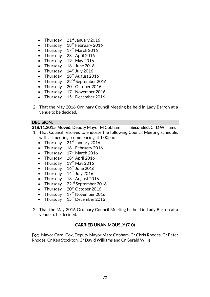- Thursday  $21<sup>st</sup>$  January 2016
- Thursday 18th February 2016
- Thursday  $17<sup>th</sup>$  March 2016
- Thursday  $28<sup>th</sup>$  April 2016
- Thursday  $19^{th}$  May 2016
- Thursday  $16^{\text{th}}$  June 2016
- Thursday  $14<sup>th</sup>$  July 2016
- Thursday  $18<sup>th</sup>$  August 2016
- Thursday  $22<sup>nd</sup>$  September 2016
- Thursday  $20<sup>th</sup>$  October 2016
- Thursday  $17<sup>th</sup>$  November 2016
- Thursday  $15<sup>th</sup>$  December 2016
- 2. That the May 2016 Ordinary Council Meeting be held in Lady Barron at a venue to be decided.

#### DECISION:

318.11.2015 Moved: Deputy Mayor M Cobham Seconded: Cr D Williams

- 1. That Council resolves to endorse the following Council Meeting schedule, with all meetings commencing at 1.00pm:
	- Thursday  $21<sup>st</sup>$  January 2016
	- Thursday  $18^{th}$  February 2016
	- Thursday  $17<sup>th</sup>$  March 2016
	- Thursday  $28<sup>th</sup>$  April 2016
	- Thursday  $19<sup>th</sup>$  May 2016
	- Thursday  $16^{th}$  June 2016
	- Thursday  $14<sup>th</sup>$  July 2016
	- Thursday  $18^{th}$  August 2016
	- Thursday  $22^{nd}$  September 2016
	- Thursday  $20<sup>th</sup>$  October 2016
	- Thursday  $17<sup>th</sup>$  November 2016
	- Thursday  $15^{\text{th}}$  December 2016
- 2. That the May 2016 Ordinary Council Meeting be held in Lady Barron at a venue to be decided.

# CARRIED UNANIMOUSLY (7-0)

For: Mayor Carol Cox, Deputy Mayor Marc Cobham, Cr Chris Rhodes, Cr Peter Rhodes, Cr Ken Stockton, Cr David Williams and Cr Gerald Willis.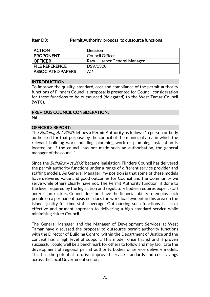#### Item D3: Permit Authority: proposal to outsource functions

| <b>ACTION</b>            | <b>Decision</b>              |
|--------------------------|------------------------------|
| <b>PROPONENT</b>         | Council Officer              |
| <b>OFFICER</b>           | Raoul Harper General Manager |
| <b>FILE REFERENCE</b>    | DSV/0300                     |
| <b>ASSOCIATED PAPERS</b> | Nil                          |

#### INTRODUCTION

To improve the quality, standard, cost and compliance of the permit authority functions of Flinders Council a proposal is presented for Council consideration for these functions to be outsourced (delegated) to the West Tamar Council (WTC).

#### PREVIOUS COUNCIL CONSIDERATION: Nil

# OFFICER'S REPORT:

The Building Act 2000 defines a Permit Authority as follows: "a person or body authorised for that purpose by the council of the municipal area in which the relevant building work, building, plumbing work or plumbing installation is located or, if the council has not made such an authorisation, the general manager of the council".

Since the *Building Act 2000* became legislation, Flinders Council has delivered the permit authority functions under a range of different service provider and staffing models. As General Manager, my position is that some of these models have delivered value and good outcomes for Council and the Community we serve while others clearly have not. The Permit Authority function, if done to the level required by the legislation and regulatory bodies, requires expert staff and/or contractors. Council does not have the financial ability to employ such people on a permanent basis nor does the work load evident in this area on the islands justify full-time staff coverage. Outsourcing such functions is a cost effective and prudent approach to delivering a high standard service while minimising risk to Council.

The General Manager and the Manager of Development Services at West Tamar have discussed the proposal to outsource permit authority functions with the Director of Building Control within the Department of Justice and the concept has a high level of support. This model, once trialed and if proven successful, could well be a benchmark for others to follow and may facilitate the development of regional permit authority bodies of service delivery models. This has the potential to drive improved service standards and cost savings across the Local Government sector.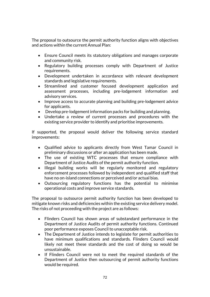The proposal to outsource the permit authority function aligns with objectives and actions within the current Annual Plan:

- Ensure Council meets its statutory obligations and manages corporate and community risk.
- Regulatory building processes comply with Department of Justice requirements.
- Development undertaken in accordance with relevant development standards and legislative requirements.
- Streamlined and customer focused development application and assessment processes, including pre-lodgement information and advisory services.
- Improve access to accurate planning and building pre-lodgement advice for applicants.
- Develop pre-lodgement information packs for building and planning.
- Undertake a review of current processes and procedures with the existing service provider to identify and prioritise improvements.

If supported, the proposal would deliver the following service standard improvements:

- Qualified advice to applicants directly from West Tamar Council in preliminary discussions or after an application has been made.
- The use of existing WTC processes that ensure compliance with Department of Justice Audits of the permit authority function.
- Illegal building works will be regularly monitored and regulatory enforcement processes followed by independent and qualified staff that have no on-island connections or perceived and/or actual bias.
- Outsourcing regulatory functions has the potential to minimise operational costs and improve service standards.

The proposal to outsource permit authority function has been developed to mitigate known risks and deficiencies within the existing service delivery model. The risks of not proceeding with the project are as follows:

- Flinders Council has shown areas of substandard performance in the Department of Justice Audits of permit authority functions. Continued poor performance exposes Council to unacceptable risk.
- The Department of Justice intends to legislate for permit authorities to have minimum qualifications and standards. Flinders Council would likely not meet these standards and the cost of doing so would be unsustainable.
- If Flinders Council were not to meet the required standards of the Department of Justice then outsourcing of permit authority functions would be required.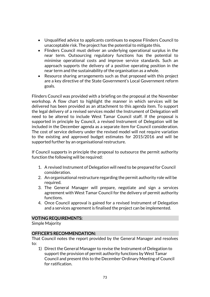- Unqualified advice to applicants continues to expose Flinders Council to unacceptable risk. The project has the potential to mitigate this.
- Flinders Council must deliver an underlying operational surplus in the near term. Outsourcing regulatory functions has the potential to minimise operational costs and improve service standards. Such an approach supports the delivery of a positive operating position in the near term and the sustainability of the organisation as a whole.
- Resource sharing arrangements such as that proposed with this project are a key directive of the State Government's Local Government reform goals.

Flinders Council was provided with a briefing on the proposal at the November workshop. A flow chart to highlight the manner in which services will be delivered has been provided as an attachment to this agenda item. To support the legal delivery of a revised services model the Instrument of Delegation will need to be altered to include West Tamar Council staff. If the proposal is supported in principle by Council, a revised Instrument of Delegation will be included in the December agenda as a separate item for Council consideration. The cost of service delivery under the revised model will not require variation to the existing and approved budget estimates for 2015/2016 and will be supported further by an organisational restructure.

If Council supports in principle the proposal to outsource the permit authority function the following will be required:

- 1. A revised Instrument of Delegation will need to be prepared for Council consideration.
- 2. An organisational restructure regarding the permit authority role will be required.
- 3. The General Manager will prepare, negotiate and sign a services agreement with West Tamar Council for the delivery of permit authority functions.
- 4. Once Council approval is gained for a revised Instrument of Delegation and a services agreement is finalised the project can be implemented.

## VOTING REQUIREMENTS:

Simple Majority

# OFFICER'S RECOMMENDATION:

That Council notes the report provided by the General Manager and resolves to:

1) Direct the General Manager to revise the Instrument of Delegation to support the provision of permit authority functions by West Tamar Council and present this to the December Ordinary Meeting of Council for ratification.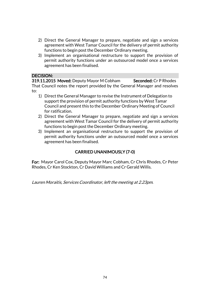- 2) Direct the General Manager to prepare, negotiate and sign a services agreement with West Tamar Council for the delivery of permit authority functions to begin post the December Ordinary meeting.
- 3) Implement an organisational restructure to support the provision of permit authority functions under an outsourced model once a services agreement has been finalised.

## DECISION:

319.11.2015 Moved: Deputy Mayor M Cobham Seconded: Cr P Rhodes That Council notes the report provided by the General Manager and resolves to:

- 1) Direct the General Manager to revise the Instrument of Delegation to support the provision of permit authority functions by West Tamar Council and present this to the December Ordinary Meeting of Council for ratification.
- 2) Direct the General Manager to prepare, negotiate and sign a services agreement with West Tamar Council for the delivery of permit authority functions to begin post the December Ordinary meeting.
- 3) Implement an organisational restructure to support the provision of permit authority functions under an outsourced model once a services agreement has been finalised.

# CARRIED UNANIMOUSLY (7-0)

For: Mayor Carol Cox, Deputy Mayor Marc Cobham, Cr Chris Rhodes, Cr Peter Rhodes, Cr Ken Stockton, Cr David Williams and Cr Gerald Willis.

Lauren Moraitis, Services Coordinator, left the meeting at 2.23pm.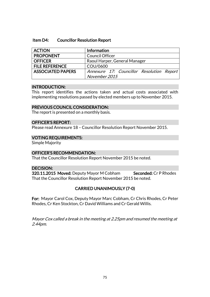### Item D4: Councillor Resolution Report

| <b>ACTION</b>            | Information                               |
|--------------------------|-------------------------------------------|
| <b>PROPONENT</b>         | <b>Council Officer</b>                    |
| <b>OFFICER</b>           | Raoul Harper, General Manager             |
| <b>FILE REFERENCE</b>    | COU/0600                                  |
| <b>ASSOCIATED PAPERS</b> | Annexure 17: Councillor Resolution Report |
|                          | November 2015                             |

### INTRODUCTION:

This report identifies the actions taken and actual costs associated with implementing resolutions passed by elected members up to November 2015.

### PREVIOUS COUNCIL CONSIDERATION:

The report is presented on a monthly basis.

## OFFICER'S REPORT:

Please read Annexure 18 – Councillor Resolution Report November 2015.

### VOTING REQUIREMENTS:

Simple Majority

### OFFICER'S RECOMMENDATION:

That the Councillor Resolution Report November 2015 be noted.

## DECISION:

320.11.2015 Moved: Deputy Mayor M Cobham Seconded: Cr P Rhodes That the Councillor Resolution Report November 2015 be noted.

## CARRIED UNANIMOUSLY (7-0)

For: Mayor Carol Cox, Deputy Mayor Marc Cobham, Cr Chris Rhodes, Cr Peter Rhodes, Cr Ken Stockton, Cr David Williams and Cr Gerald Willis.

Mayor Cox called a break in the meeting at 2.25pm and resumed the meeting at 2.44pm.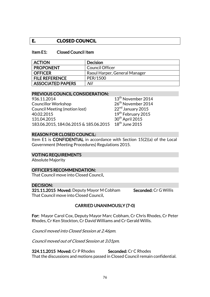# **E. CLOSED COUNCIL**

### Item E1: Closed Council Item

| <b>ACTION</b>            | <b>Decision</b>               |
|--------------------------|-------------------------------|
| <b>PROPONENT</b>         | <b>Council Officer</b>        |
| <b>OFFICER</b>           | Raoul Harper, General Manager |
| <b>FILE REFERENCE</b>    | PER/1500                      |
| <b>ASSOCIATED PAPERS</b> | Nil                           |

### PREVIOUS COUNCIL CONSIDERATION:

936.11.2014 13<sup>th</sup> November 2014 Councillor Workshop 26<sup>th</sup> November 2014 Council Meeting (motion lost) 22<sup>nd</sup> January 2015 40.02.2015 19th February 2015 131.04.2015 30<sup>th</sup> April 2015<br>183.06.2015, 184.06.2015 & 185.06.2015 18<sup>th</sup> June 2015 183.06.2015, 184.06.2015 & 185.06.2015

### REASON FOR CLOSED COUNCIL:

Item E1 is CONFIDENTIAL in accordance with Section 15(2)(a) of the Local Government (Meeting Procedures) Regulations 2015.

VOTING REQUIREMENTS

Absolute Majority

### OFFICER'S RECOMMENDATION:

That Council move into Closed Council.

#### DECISION:

321.11.2015 Moved: Deputy Mayor M Cobham Seconded: Cr G Willis That Council move into Closed Council.

# CARRIED UNANIMOUSLY (7-0)

For: Mayor Carol Cox, Deputy Mayor Marc Cobham, Cr Chris Rhodes, Cr Peter Rhodes, Cr Ken Stockton, Cr David Williams and Cr Gerald Willis.

Council moved into Closed Session at 2.46pm.

Council moved out of Closed Session at 3.01pm.

324.11.2015 Moved: Cr P Rhodes Seconded: Cr C Rhodes That the discussions and motions passed in Closed Council remain confidential.